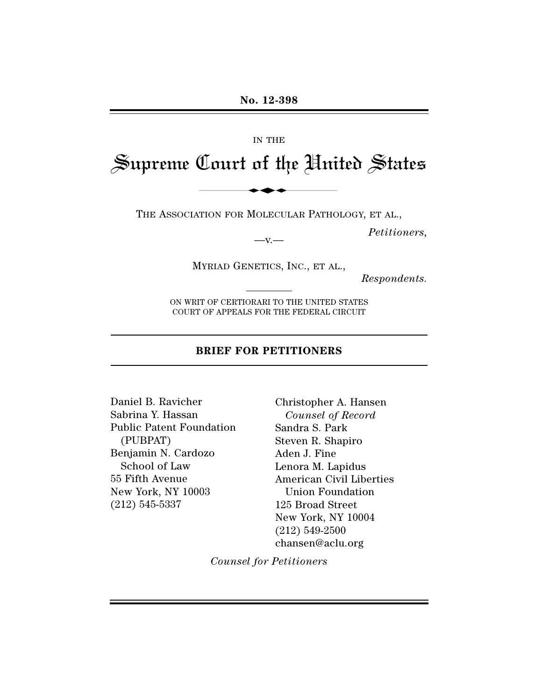#### IN THE

# Supreme Court of the United States IN THE<br>Court of the Hui

THE ASSOCIATION FOR MOLECULAR PATHOLOGY, ET AL.,

*Petitioners,*

MYRIAD GENETICS, INC., ET AL.,

 $-$ v. $-$ 

*Respondents.*

ON WRIT OF CERTIORARI TO THE UNITED STATES COURT OF APPEALS FOR THE FEDERAL CIRCUIT

#### **BRIEF FOR PETITIONERS**

Daniel B. Ravicher Sabrina Y. Hassan Public Patent Foundation (PUBPAT) Benjamin N. Cardozo School of Law 55 Fifth Avenue New York, NY 10003 (212) 545-5337

Christopher A. Hansen *Counsel of Record* Sandra S. Park Steven R. Shapiro Aden J. Fine Lenora M. Lapidus American Civil Liberties Union Foundation 125 Broad Street New York, NY 10004 (212) 549-2500 chansen@aclu.org

*Counsel for Petitioners*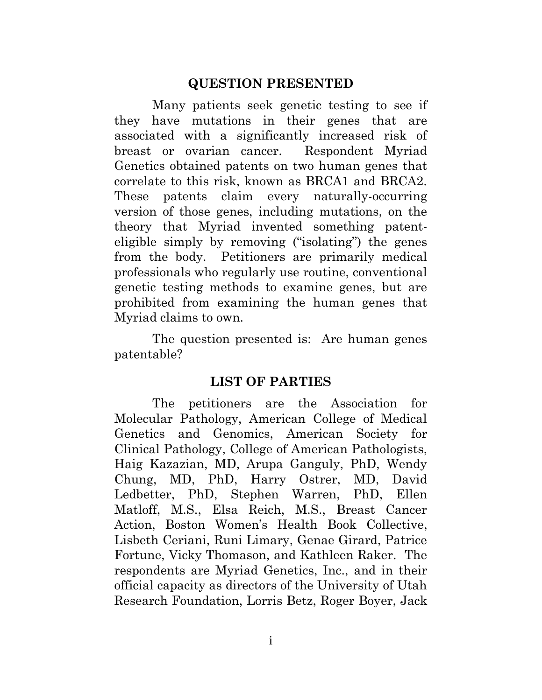#### <span id="page-1-0"></span>**QUESTION PRESENTED**

Many patients seek genetic testing to see if they have mutations in their genes that are associated with a significantly increased risk of breast or ovarian cancer. Respondent Myriad Genetics obtained patents on two human genes that correlate to this risk, known as BRCA1 and BRCA2. These patents claim every naturally-occurring version of those genes, including mutations, on the theory that Myriad invented something patenteligible simply by removing ("isolating") the genes from the body. Petitioners are primarily medical professionals who regularly use routine, conventional genetic testing methods to examine genes, but are prohibited from examining the human genes that Myriad claims to own.

The question presented is: Are human genes patentable?

#### <span id="page-1-1"></span>**LIST OF PARTIES**

 The petitioners are the Association for Molecular Pathology, American College of Medical Genetics and Genomics, American Society for Clinical Pathology, College of American Pathologists, Haig Kazazian, MD, Arupa Ganguly, PhD, Wendy Chung, MD, PhD, Harry Ostrer, MD, David Ledbetter, PhD, Stephen Warren, PhD, Ellen Matloff, M.S., Elsa Reich, M.S., Breast Cancer Action, Boston Women's Health Book Collective, Lisbeth Ceriani, Runi Limary, Genae Girard, Patrice Fortune, Vicky Thomason, and Kathleen Raker. The respondents are Myriad Genetics, Inc., and in their official capacity as directors of the University of Utah Research Foundation, Lorris Betz, Roger Boyer, Jack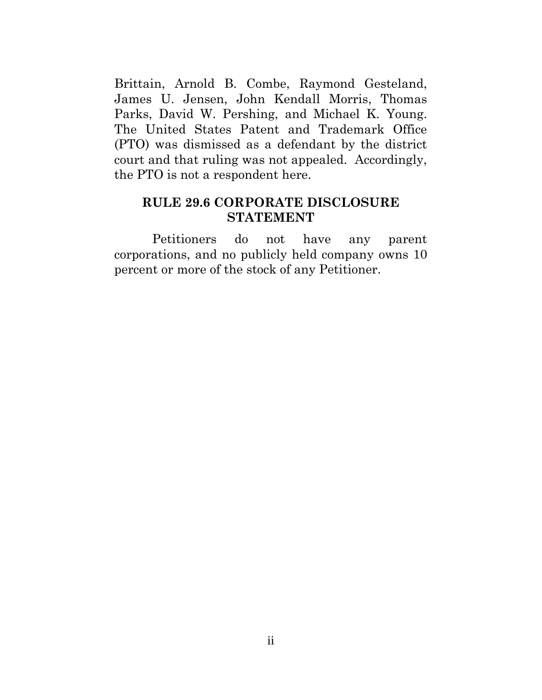Brittain, Arnold B. Combe, Raymond Gesteland, James U. Jensen, John Kendall Morris, Thomas Parks, David W. Pershing, and Michael K. Young. The United States Patent and Trademark Office (PTO) was dismissed as a defendant by the district court and that ruling was not appealed. Accordingly, the PTO is not a respondent here.

#### <span id="page-2-0"></span>**RULE 29.6 CORPORATE DISCLOSURE STATEMENT**

Petitioners do not have any parent corporations, and no publicly held company owns 10 percent or more of the stock of any Petitioner.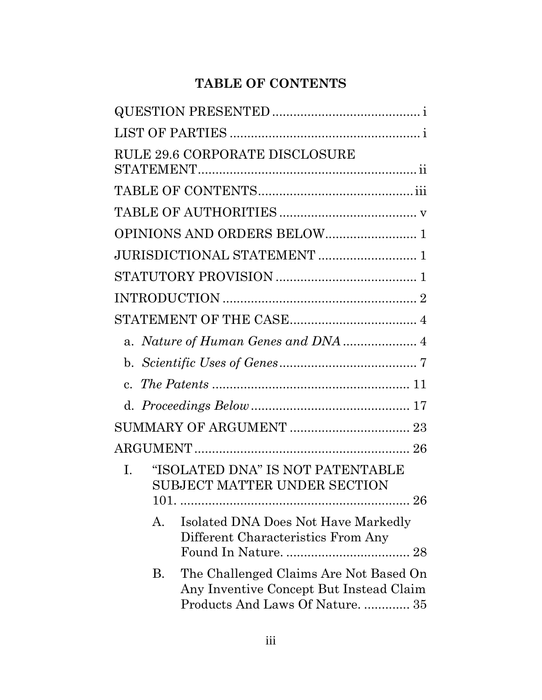# <span id="page-3-0"></span>**TABLE OF CONTENTS**

| <b>RULE 29.6 CORPORATE DISCLOSURE</b>                                                                                     |
|---------------------------------------------------------------------------------------------------------------------------|
|                                                                                                                           |
|                                                                                                                           |
| OPINIONS AND ORDERS BELOW 1                                                                                               |
| JURISDICTIONAL STATEMENT  1                                                                                               |
|                                                                                                                           |
|                                                                                                                           |
|                                                                                                                           |
|                                                                                                                           |
|                                                                                                                           |
| $\mathbf{c}$ .                                                                                                            |
|                                                                                                                           |
|                                                                                                                           |
|                                                                                                                           |
| "ISOLATED DNA" IS NOT PATENTABLE<br>$\mathbf{L}$<br><b>SUBJECT MATTER UNDER SECTION</b><br>$101. \dots$                   |
| Isolated DNA Does Not Have Markedly<br>А.<br>Different Characteristics From Any                                           |
| The Challenged Claims Are Not Based On<br>В.<br>Any Inventive Concept But Instead Claim<br>Products And Laws Of Nature 35 |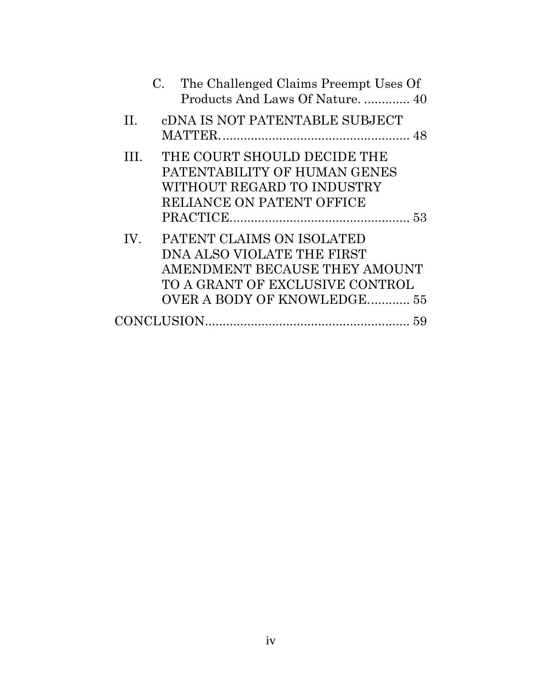| C. The Challenged Claims Preempt Uses Of<br>Products And Laws Of Nature 40                                                                                               |  |
|--------------------------------------------------------------------------------------------------------------------------------------------------------------------------|--|
| <b>CDNA IS NOT PATENTABLE SUBJECT</b><br>$\mathbf{H}$                                                                                                                    |  |
| TH.<br>THE COURT SHOULD DECIDE THE<br>PATENTABILITY OF HUMAN GENES<br>WITHOUT REGARD TO INDUSTRY<br><b>RELIANCE ON PATENT OFFICE</b>                                     |  |
| PATENT CLAIMS ON ISOLATED<br>IV.<br>DNA ALSO VIOLATE THE FIRST<br>AMENDMENT BECAUSE THEY AMOUNT<br>TO A GRANT OF EXCLUSIVE CONTROL<br><b>OVER A BODY OF KNOWLEDGE 55</b> |  |
|                                                                                                                                                                          |  |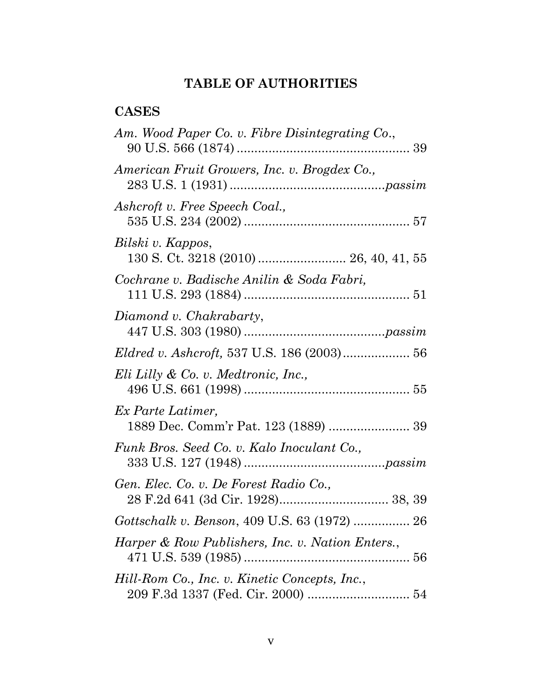## <span id="page-5-0"></span>**TABLE OF AUTHORITIES**

## **CASES**

| Am. Wood Paper Co. v. Fibre Disintegrating Co.,           |
|-----------------------------------------------------------|
| American Fruit Growers, Inc. v. Brogdex Co.,              |
| Ashcroft v. Free Speech Coal.,                            |
| Bilski v. Kappos,                                         |
| Cochrane v. Badische Anilin & Soda Fabri,                 |
| Diamond v. Chakrabarty,                                   |
| Eldred v. Ashcroft, 537 U.S. 186 (2003) 56                |
| Eli Lilly & Co. v. Medtronic, Inc.,                       |
| Ex Parte Latimer,<br>1889 Dec. Comm'r Pat. 123 (1889)  39 |
| Funk Bros. Seed Co. v. Kalo Inoculant Co.,                |
| Gen. Elec. Co. v. De Forest Radio Co.,                    |
| Gottschalk v. Benson, 409 U.S. 63 (1972)  26              |
| Harper & Row Publishers, Inc. v. Nation Enters.,          |
| Hill-Rom Co., Inc. v. Kinetic Concepts, Inc.,             |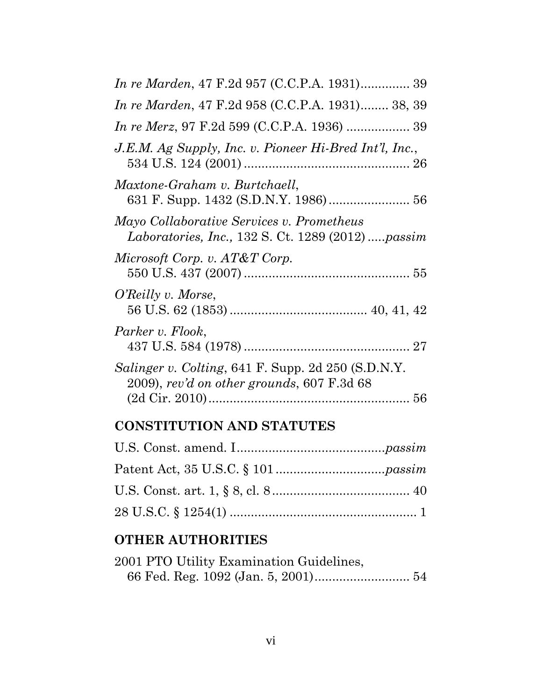| <i>In re Marden</i> , 47 F.2d 957 (C.C.P.A. 1931) 39                                                      |
|-----------------------------------------------------------------------------------------------------------|
| <i>In re Marden</i> , 47 F.2d 958 (C.C.P.A. 1931) 38, 39                                                  |
|                                                                                                           |
| J.E.M. Ag Supply, Inc. v. Pioneer Hi-Bred Int'l, Inc.,                                                    |
| Maxtone-Graham v. Burtchaell,                                                                             |
| Mayo Collaborative Services v. Prometheus<br><i>Laboratories, Inc., 132 S. Ct. 1289 (2012) passim</i>     |
| Microsoft Corp. v. AT&T Corp.                                                                             |
| O'Reilly v. Morse,                                                                                        |
| Parker v. Flook,                                                                                          |
| <i>Salinger v. Colting, 641 F. Supp. 2d 250 (S.D.N.Y.</i><br>$2009$ , rev'd on other grounds, 607 F.3d 68 |
|                                                                                                           |

## **CONSTITUTION AND STATUTES**

## **OTHER AUTHORITIES**

| 2001 PTO Utility Examination Guidelines, |  |
|------------------------------------------|--|
|                                          |  |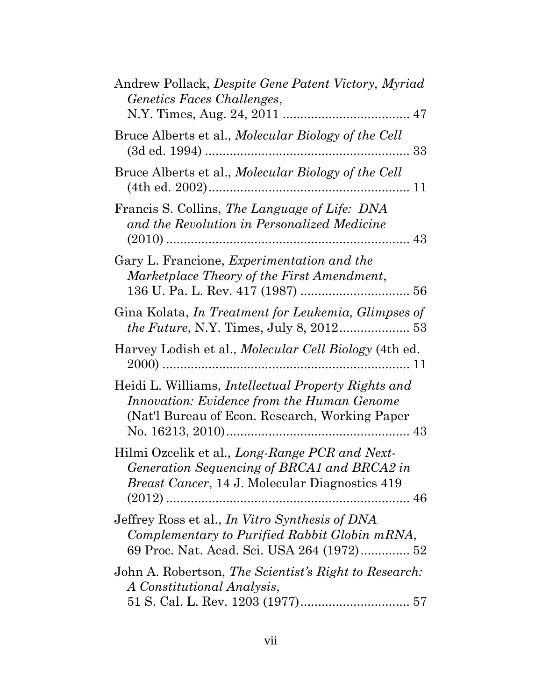| Andrew Pollack, Despite Gene Patent Victory, Myriad<br>Genetics Faces Challenges,                                                                           |
|-------------------------------------------------------------------------------------------------------------------------------------------------------------|
| Bruce Alberts et al., Molecular Biology of the Cell                                                                                                         |
| Bruce Alberts et al., Molecular Biology of the Cell                                                                                                         |
| Francis S. Collins, The Language of Life: DNA<br>and the Revolution in Personalized Medicine                                                                |
| Gary L. Francione, <i>Experimentation and the</i><br>Marketplace Theory of the First Amendment,                                                             |
| Gina Kolata, In Treatment for Leukemia, Glimpses of<br><i>the Future, N.Y. Times, July 8, 2012</i> 53                                                       |
| Harvey Lodish et al., <i>Molecular Cell Biology</i> (4th ed.                                                                                                |
| Heidi L. Williams, <i>Intellectual Property Rights and</i><br>Innovation: Evidence from the Human Genome<br>(Nat'l Bureau of Econ. Research, Working Paper) |
| Hilmi Ozcelik et al., Long-Range PCR and Next-<br>Generation Sequencing of BRCA1 and BRCA2 in<br><i>Breast Cancer</i> , 14 J. Molecular Diagnostics 419     |
| Jeffrey Ross et al., In Vitro Synthesis of DNA<br>Complementary to Purified Rabbit Globin mRNA,<br>69 Proc. Nat. Acad. Sci. USA 264 (1972) 52               |
| John A. Robertson, The Scientist's Right to Research:<br>A Constitutional Analysis,                                                                         |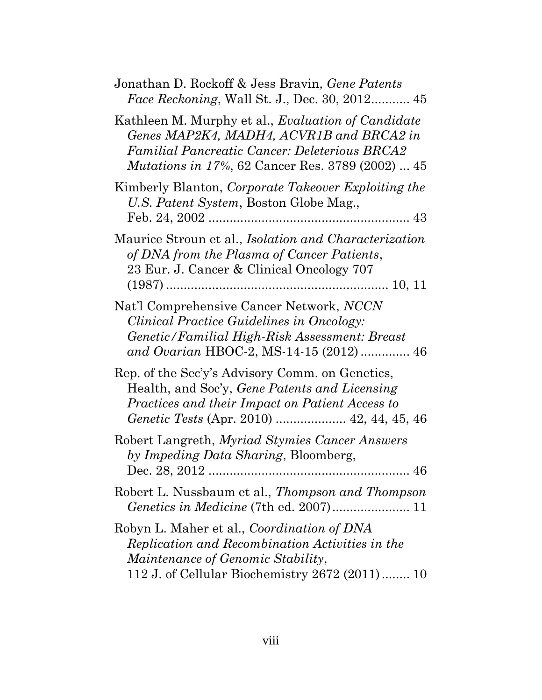| Jonathan D. Rockoff & Jess Bravin, Gene Patents<br><i>Face Reckoning</i> , Wall St. J., Dec. 30, 2012 45                                                                                                                  |
|---------------------------------------------------------------------------------------------------------------------------------------------------------------------------------------------------------------------------|
| Kathleen M. Murphy et al., <i>Evaluation of Candidate</i><br>Genes MAP2K4, MADH4, ACVR1B and BRCA2 in<br><b>Familial Pancreatic Cancer: Deleterious BRCA2</b><br><i>Mutations in 17%</i> , 62 Cancer Res. 3789 (2002)  45 |
| Kimberly Blanton, Corporate Takeover Exploiting the<br>U.S. Patent System, Boston Globe Mag.,                                                                                                                             |
| Maurice Stroun et al., Isolation and Characterization<br>of DNA from the Plasma of Cancer Patients,<br>23 Eur. J. Cancer & Clinical Oncology 707                                                                          |
| Nat'l Comprehensive Cancer Network, NCCN<br>Clinical Practice Guidelines in Oncology:<br>Genetic/Familial High-Risk Assessment: Breast<br>and Ovarian HBOC-2, MS-14-15 (2012)  46                                         |
| Rep. of the Sec'y's Advisory Comm. on Genetics,<br>Health, and Soc'y, Gene Patents and Licensing<br>Practices and their Impact on Patient Access to                                                                       |
| Robert Langreth, Myriad Stymies Cancer Answers<br>by Impeding Data Sharing, Bloomberg,                                                                                                                                    |
| Robert L. Nussbaum et al., Thompson and Thompson                                                                                                                                                                          |
| Robyn L. Maher et al., Coordination of DNA<br>Replication and Recombination Activities in the<br><i>Maintenance of Genomic Stability,</i><br>112 J. of Cellular Biochemistry 2672 (2011) 10                               |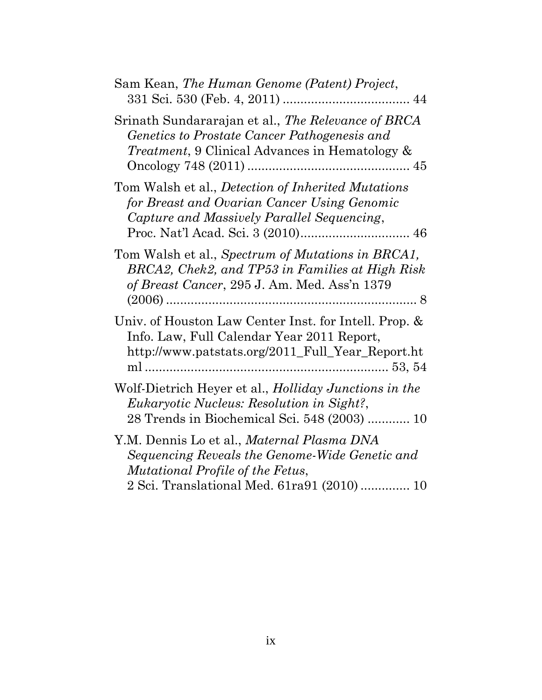| Sam Kean, The Human Genome (Patent) Project,                                                                                                                                    |
|---------------------------------------------------------------------------------------------------------------------------------------------------------------------------------|
| Srinath Sundararajan et al., The Relevance of BRCA<br>Genetics to Prostate Cancer Pathogenesis and<br><i>Treatment</i> , 9 Clinical Advances in Hematology &                    |
| Tom Walsh et al., Detection of Inherited Mutations<br>for Breast and Ovarian Cancer Using Genomic<br>Capture and Massively Parallel Sequencing,                                 |
| Tom Walsh et al., Spectrum of Mutations in BRCA1,<br>BRCA2, Chek2, and TP53 in Families at High Risk<br>of Breast Cancer, 295 J. Am. Med. Ass'n 1379                            |
| Univ. of Houston Law Center Inst. for Intell. Prop. &<br>Info. Law, Full Calendar Year 2011 Report,<br>http://www.patstats.org/2011_Full_Year_Report.ht                         |
| Wolf-Dietrich Heyer et al., <i>Holliday Junctions in the</i><br><i>Eukaryotic Nucleus: Resolution in Sight?,</i><br>28 Trends in Biochemical Sci. 548 (2003)  10                |
| Y.M. Dennis Lo et al., Maternal Plasma DNA<br>Sequencing Reveals the Genome-Wide Genetic and<br>Mutational Profile of the Fetus,<br>2 Sci. Translational Med. 61ra91 (2010)  10 |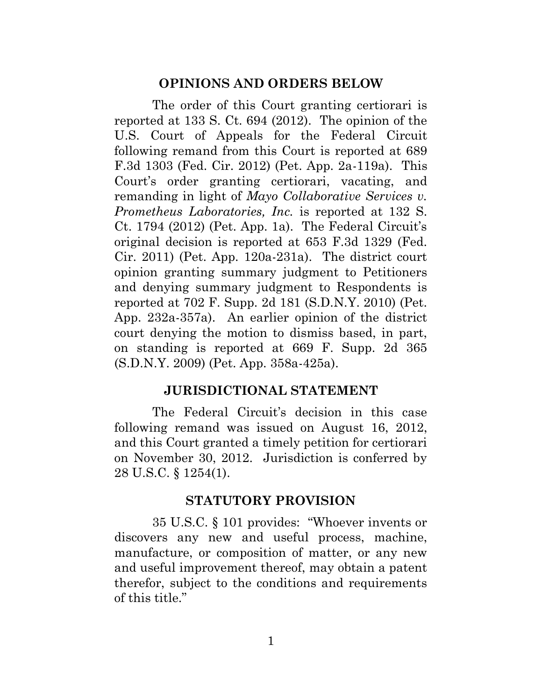#### <span id="page-10-0"></span>**OPINIONS AND ORDERS BELOW**

The order of this Court granting certiorari is reported at 133 S. Ct. 694 (2012). The opinion of the U.S. Court of Appeals for the Federal Circuit following remand from this Court is reported at 689 F.3d 1303 (Fed. Cir. 2012) (Pet. App. 2a-119a). This Court's order granting certiorari, vacating, and remanding in light of *Mayo Collaborative Services v. Prometheus Laboratories, Inc.* is reported at 132 S. Ct. 1794 (2012) (Pet. App. 1a). The Federal Circuit's original decision is reported at 653 F.3d 1329 (Fed. Cir. 2011) (Pet. App. 120a-231a). The district court opinion granting summary judgment to Petitioners and denying summary judgment to Respondents is reported at 702 F. Supp. 2d 181 (S.D.N.Y. 2010) (Pet. App. 232a-357a). An earlier opinion of the district court denying the motion to dismiss based, in part, on standing is reported at 669 F. Supp. 2d 365 (S.D.N.Y. 2009) (Pet. App. 358a-425a).

#### **JURISDICTIONAL STATEMENT**

The Federal Circuit's decision in this case following remand was issued on August 16, 2012, and this Court granted a timely petition for certiorari on November 30, 2012. Jurisdiction is conferred by 28 U.S.C. § 1254(1).

#### <span id="page-10-2"></span><span id="page-10-1"></span>**STATUTORY PROVISION**

35 U.S.C. § 101 provides: "Whoever invents or discovers any new and useful process, machine, manufacture, or composition of matter, or any new and useful improvement thereof, may obtain a patent therefor, subject to the conditions and requirements of this title."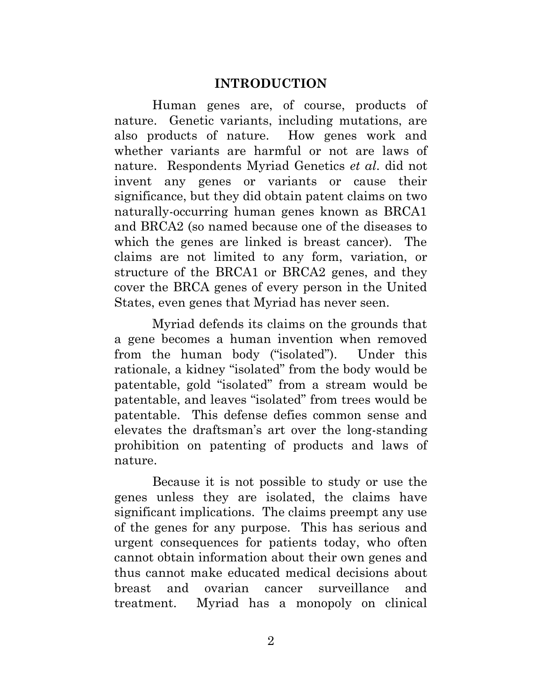#### <span id="page-11-0"></span>**INTRODUCTION**

Human genes are, of course, products of nature. Genetic variants, including mutations, are also products of nature. How genes work and whether variants are harmful or not are laws of nature. Respondents Myriad Genetics *et al*. did not invent any genes or variants or cause their significance, but they did obtain patent claims on two naturally-occurring human genes known as BRCA1 and BRCA2 (so named because one of the diseases to which the genes are linked is breast cancer). The claims are not limited to any form, variation, or structure of the BRCA1 or BRCA2 genes, and they cover the BRCA genes of every person in the United States, even genes that Myriad has never seen.

Myriad defends its claims on the grounds that a gene becomes a human invention when removed from the human body ("isolated"). Under this rationale, a kidney "isolated" from the body would be patentable, gold "isolated" from a stream would be patentable, and leaves "isolated" from trees would be patentable. This defense defies common sense and elevates the draftsman's art over the long-standing prohibition on patenting of products and laws of nature.

Because it is not possible to study or use the genes unless they are isolated, the claims have significant implications. The claims preempt any use of the genes for any purpose. This has serious and urgent consequences for patients today, who often cannot obtain information about their own genes and thus cannot make educated medical decisions about breast and ovarian cancer surveillance and treatment. Myriad has a monopoly on clinical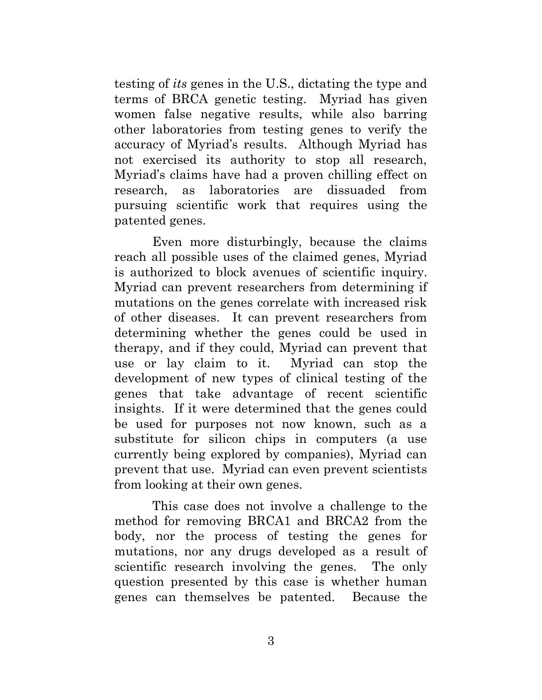testing of *its* genes in the U.S., dictating the type and terms of BRCA genetic testing. Myriad has given women false negative results, while also barring other laboratories from testing genes to verify the accuracy of Myriad's results. Although Myriad has not exercised its authority to stop all research, Myriad's claims have had a proven chilling effect on research, as laboratories are dissuaded from pursuing scientific work that requires using the patented genes.

Even more disturbingly, because the claims reach all possible uses of the claimed genes, Myriad is authorized to block avenues of scientific inquiry. Myriad can prevent researchers from determining if mutations on the genes correlate with increased risk of other diseases. It can prevent researchers from determining whether the genes could be used in therapy, and if they could, Myriad can prevent that use or lay claim to it. Myriad can stop the development of new types of clinical testing of the genes that take advantage of recent scientific insights. If it were determined that the genes could be used for purposes not now known, such as a substitute for silicon chips in computers (a use currently being explored by companies), Myriad can prevent that use. Myriad can even prevent scientists from looking at their own genes.

This case does not involve a challenge to the method for removing BRCA1 and BRCA2 from the body, nor the process of testing the genes for mutations, nor any drugs developed as a result of scientific research involving the genes. The only question presented by this case is whether human genes can themselves be patented. Because the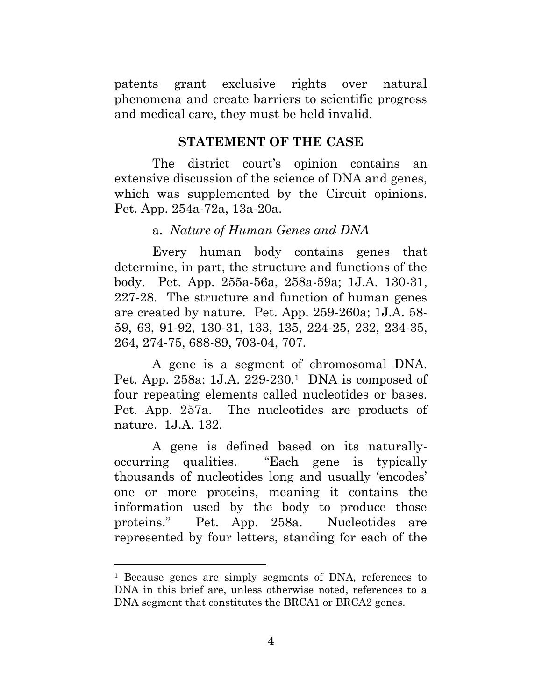patents grant exclusive rights over natural phenomena and create barriers to scientific progress and medical care, they must be held invalid.

#### **STATEMENT OF THE CASE**

The district court's opinion contains an extensive discussion of the science of DNA and genes, which was supplemented by the Circuit opinions. Pet. App. 254a-72a, 13a-20a.

#### <span id="page-13-1"></span><span id="page-13-0"></span>a. *Nature of Human Genes and DNA*

Every human body contains genes that determine, in part, the structure and functions of the body. Pet. App. 255a-56a, 258a-59a; 1J.A. 130-31, 227-28. The structure and function of human genes are created by nature. Pet. App. 259-260a; 1J.A. 58- 59, 63, 91-92, 130-31, 133, 135, 224-25, 232, 234-35, 264, 274-75, 688-89, 703-04, 707.

A gene is a segment of chromosomal DNA. Pet. App. 258a; 1J.A. 229-230.1 DNA is composed of four repeating elements called nucleotides or bases. Pet. App. 257a. The nucleotides are products of nature. 1J.A. 132.

A gene is defined based on its naturallyoccurring qualities. "Each gene is typically thousands of nucleotides long and usually 'encodes' one or more proteins, meaning it contains the information used by the body to produce those proteins." Pet. App. 258a. Nucleotides are represented by four letters, standing for each of the

<sup>1</sup> Because genes are simply segments of DNA, references to DNA in this brief are, unless otherwise noted, references to a DNA segment that constitutes the BRCA1 or BRCA2 genes.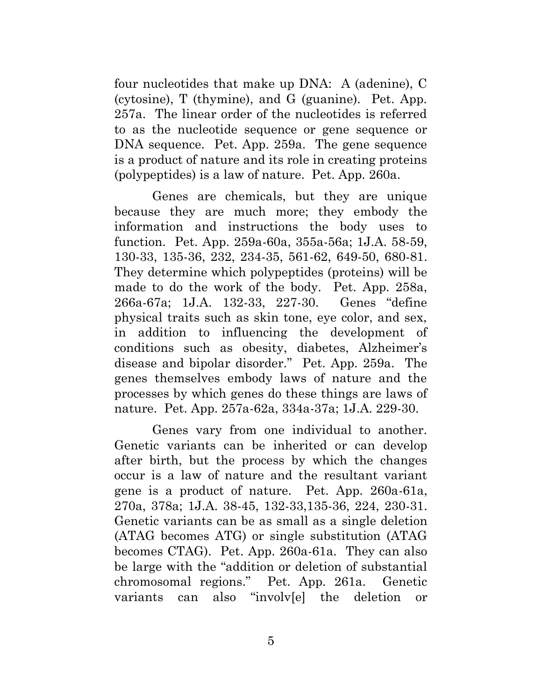four nucleotides that make up DNA: A (adenine), C (cytosine), T (thymine), and G (guanine). Pet. App. 257a. The linear order of the nucleotides is referred to as the nucleotide sequence or gene sequence or DNA sequence. Pet. App. 259a. The gene sequence is a product of nature and its role in creating proteins (polypeptides) is a law of nature. Pet. App. 260a.

Genes are chemicals, but they are unique because they are much more; they embody the information and instructions the body uses to function. Pet. App. 259a-60a, 355a-56a; 1J.A. 58-59, 130-33, 135-36, 232, 234-35, 561-62, 649-50, 680-81. They determine which polypeptides (proteins) will be made to do the work of the body. Pet. App. 258a, 266a-67a; 1J.A. 132-33, 227-30. Genes "define physical traits such as skin tone, eye color, and sex, in addition to influencing the development of conditions such as obesity, diabetes, Alzheimer's disease and bipolar disorder." Pet. App. 259a. The genes themselves embody laws of nature and the processes by which genes do these things are laws of nature. Pet. App. 257a-62a, 334a-37a; 1J.A. 229-30.

Genes vary from one individual to another. Genetic variants can be inherited or can develop after birth, but the process by which the changes occur is a law of nature and the resultant variant gene is a product of nature. Pet. App. 260a-61a, 270a, 378a; 1J.A. 38-45, 132-33,135-36, 224, 230-31. Genetic variants can be as small as a single deletion (ATAG becomes ATG) or single substitution (ATAG becomes CTAG). Pet. App. 260a-61a. They can also be large with the "addition or deletion of substantial chromosomal regions." Pet. App. 261a. Genetic variants can also "involv[e] the deletion or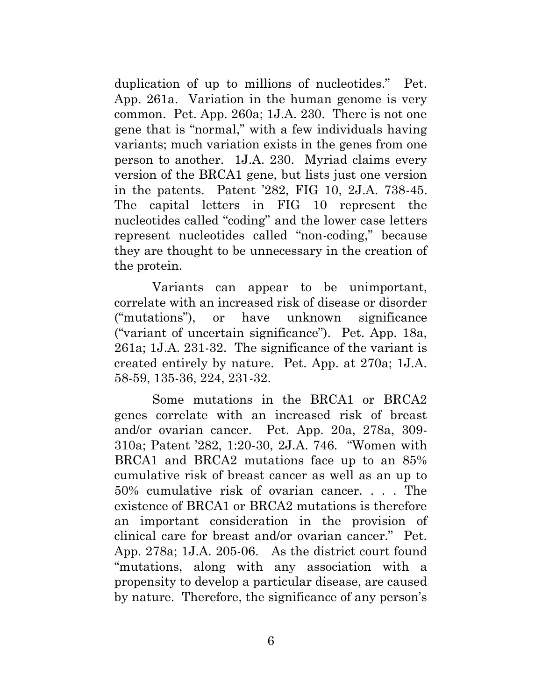duplication of up to millions of nucleotides." Pet. App. 261a. Variation in the human genome is very common. Pet. App. 260a; 1J.A. 230. There is not one gene that is "normal," with a few individuals having variants; much variation exists in the genes from one person to another. 1J.A. 230. Myriad claims every version of the BRCA1 gene, but lists just one version in the patents. Patent '282, FIG 10, 2J.A. 738-45. The capital letters in FIG 10 represent the nucleotides called "coding" and the lower case letters represent nucleotides called "non-coding," because they are thought to be unnecessary in the creation of the protein.

Variants can appear to be unimportant, correlate with an increased risk of disease or disorder ("mutations"), or have unknown significance ("variant of uncertain significance"). Pet. App. 18a, 261a; 1J.A. 231-32. The significance of the variant is created entirely by nature. Pet. App. at 270a; 1J.A. 58-59, 135-36, 224, 231-32.

Some mutations in the BRCA1 or BRCA2 genes correlate with an increased risk of breast and/or ovarian cancer. Pet. App. 20a, 278a, 309- 310a; Patent '282, 1:20-30, 2J.A. 746. "Women with BRCA1 and BRCA2 mutations face up to an 85% cumulative risk of breast cancer as well as an up to 50% cumulative risk of ovarian cancer. . . . The existence of BRCA1 or BRCA2 mutations is therefore an important consideration in the provision of clinical care for breast and/or ovarian cancer." Pet. App. 278a; 1J.A. 205-06. As the district court found "mutations, along with any association with a propensity to develop a particular disease, are caused by nature. Therefore, the significance of any person's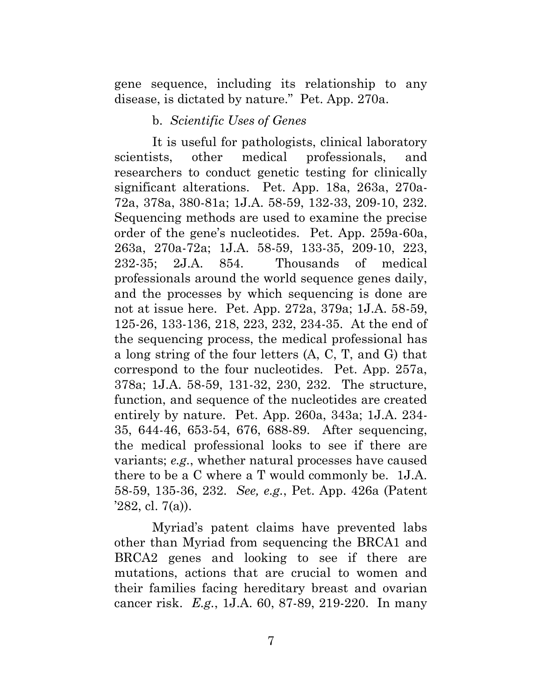gene sequence, including its relationship to any disease, is dictated by nature." Pet. App. 270a.

#### <span id="page-16-0"></span>b. *Scientific Uses of Genes*

It is useful for pathologists, clinical laboratory scientists, other medical professionals, and researchers to conduct genetic testing for clinically significant alterations. Pet. App. 18a, 263a, 270a-72a, 378a, 380-81a; 1J.A. 58-59, 132-33, 209-10, 232. Sequencing methods are used to examine the precise order of the gene's nucleotides. Pet. App. 259a-60a, 263a, 270a-72a; 1J.A. 58-59, 133-35, 209-10, 223, 232-35; 2J.A. 854. Thousands of medical professionals around the world sequence genes daily, and the processes by which sequencing is done are not at issue here. Pet. App. 272a, 379a; 1J.A. 58-59, 125-26, 133-136, 218, 223, 232, 234-35. At the end of the sequencing process, the medical professional has a long string of the four letters (A, C, T, and G) that correspond to the four nucleotides. Pet. App. 257a, 378a; 1J.A. 58-59, 131-32, 230, 232. The structure, function, and sequence of the nucleotides are created entirely by nature. Pet. App. 260a, 343a; 1J.A. 234- 35, 644-46, 653-54, 676, 688-89. After sequencing, the medical professional looks to see if there are variants; *e.g.*, whether natural processes have caused there to be a C where a T would commonly be. 1J.A. 58-59, 135-36, 232. *See, e.g.*, Pet. App. 426a (Patent '282, cl. 7(a)).

Myriad's patent claims have prevented labs other than Myriad from sequencing the BRCA1 and BRCA2 genes and looking to see if there are mutations, actions that are crucial to women and their families facing hereditary breast and ovarian cancer risk. *E.g.*, 1J.A. 60, 87-89, 219-220. In many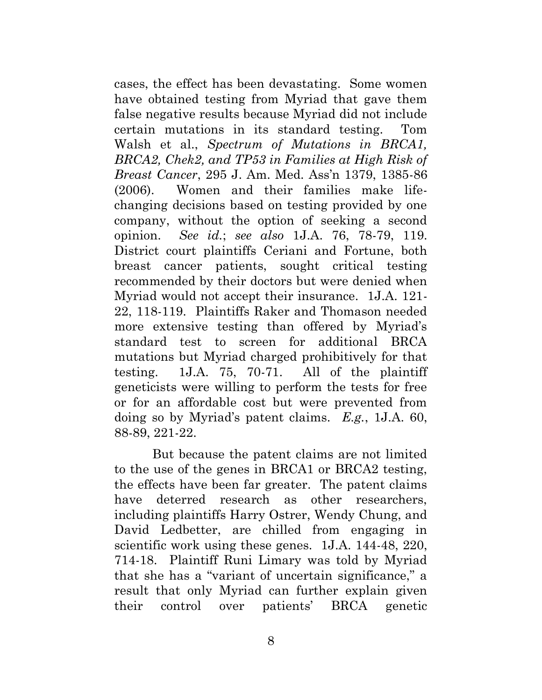cases, the effect has been devastating. Some women have obtained testing from Myriad that gave them false negative results because Myriad did not include certain mutations in its standard testing. Tom Walsh et al., *Spectrum of Mutations in BRCA1, BRCA2, Chek2, and TP53 in Families at High Risk of Breast Cancer*, 295 J. Am. Med. Ass'n 1379, 1385-86 (2006). Women and their families make lifechanging decisions based on testing provided by one company, without the option of seeking a second opinion. *See id.*; *see also* 1J.A. 76, 78-79, 119. District court plaintiffs Ceriani and Fortune, both breast cancer patients, sought critical testing recommended by their doctors but were denied when Myriad would not accept their insurance. 1J.A. 121- 22, 118-119. Plaintiffs Raker and Thomason needed more extensive testing than offered by Myriad's standard test to screen for additional BRCA mutations but Myriad charged prohibitively for that testing. 1J.A. 75, 70-71. All of the plaintiff geneticists were willing to perform the tests for free or for an affordable cost but were prevented from doing so by Myriad's patent claims. *E.g.*, 1J.A. 60, 88-89, 221-22.

But because the patent claims are not limited to the use of the genes in BRCA1 or BRCA2 testing, the effects have been far greater. The patent claims have deterred research as other researchers, including plaintiffs Harry Ostrer, Wendy Chung, and David Ledbetter, are chilled from engaging in scientific work using these genes. 1J.A. 144-48, 220, 714-18. Plaintiff Runi Limary was told by Myriad that she has a "variant of uncertain significance," a result that only Myriad can further explain given their control over patients' BRCA genetic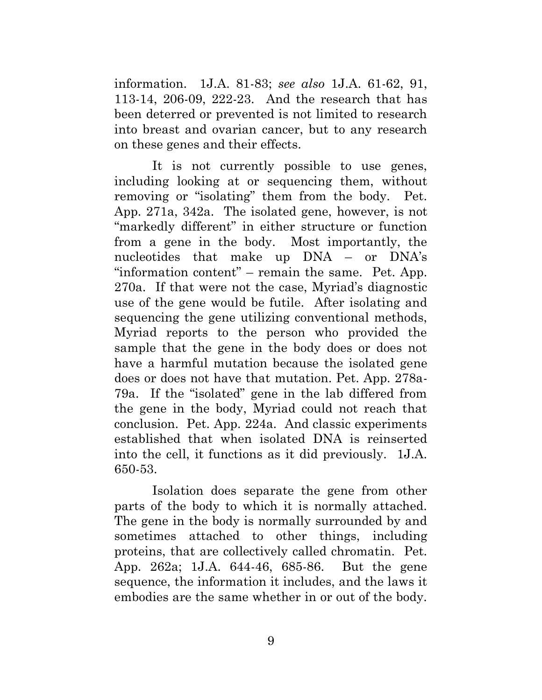information. 1J.A. 81-83; *see also* 1J.A. 61-62, 91, 113-14, 206-09, 222-23. And the research that has been deterred or prevented is not limited to research into breast and ovarian cancer, but to any research on these genes and their effects.

It is not currently possible to use genes, including looking at or sequencing them, without removing or "isolating" them from the body. Pet. App. 271a, 342a. The isolated gene, however, is not "markedly different" in either structure or function from a gene in the body. Most importantly, the nucleotides that make up DNA – or DNA's "information content" – remain the same. Pet. App. 270a. If that were not the case, Myriad's diagnostic use of the gene would be futile. After isolating and sequencing the gene utilizing conventional methods, Myriad reports to the person who provided the sample that the gene in the body does or does not have a harmful mutation because the isolated gene does or does not have that mutation. Pet. App. 278a-79a. If the "isolated" gene in the lab differed from the gene in the body, Myriad could not reach that conclusion. Pet. App. 224a. And classic experiments established that when isolated DNA is reinserted into the cell, it functions as it did previously. 1J.A. 650-53.

Isolation does separate the gene from other parts of the body to which it is normally attached. The gene in the body is normally surrounded by and sometimes attached to other things, including proteins, that are collectively called chromatin. Pet. App. 262a; 1J.A. 644-46, 685-86. But the gene sequence, the information it includes, and the laws it embodies are the same whether in or out of the body.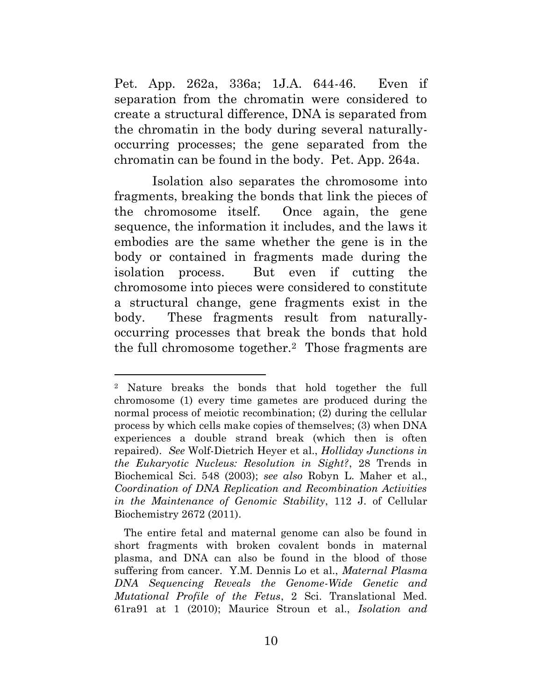Pet. App. 262a, 336a; 1J.A. 644-46.Even if separation from the chromatin were considered to create a structural difference, DNA is separated from the chromatin in the body during several naturallyoccurring processes; the gene separated from the chromatin can be found in the body. Pet. App. 264a.

Isolation also separates the chromosome into fragments, breaking the bonds that link the pieces of the chromosome itself. Once again, the gene sequence, the information it includes, and the laws it embodies are the same whether the gene is in the body or contained in fragments made during the isolation process. But even if cutting the chromosome into pieces were considered to constitute a structural change, gene fragments exist in the body. These fragments result from naturallyoccurring processes that break the bonds that hold the full chromosome together.2 Those fragments are

<sup>2</sup> Nature breaks the bonds that hold together the full chromosome (1) every time gametes are produced during the normal process of meiotic recombination; (2) during the cellular process by which cells make copies of themselves; (3) when DNA experiences a double strand break (which then is often repaired). *See* Wolf-Dietrich Heyer et al., *Holliday Junctions in the Eukaryotic Nucleus: Resolution in Sight?*, 28 Trends in Biochemical Sci. 548 (2003); *see also* Robyn L. Maher et al., *Coordination of DNA Replication and Recombination Activities in the Maintenance of Genomic Stability*, 112 J. of Cellular Biochemistry 2672 (2011).

The entire fetal and maternal genome can also be found in short fragments with broken covalent bonds in maternal plasma, and DNA can also be found in the blood of those suffering from cancer. Y.M. Dennis Lo et al., *Maternal Plasma DNA Sequencing Reveals the Genome-Wide Genetic and Mutational Profile of the Fetus*, 2 Sci. Translational Med. 61ra91 at 1 (2010); Maurice Stroun et al., *Isolation and*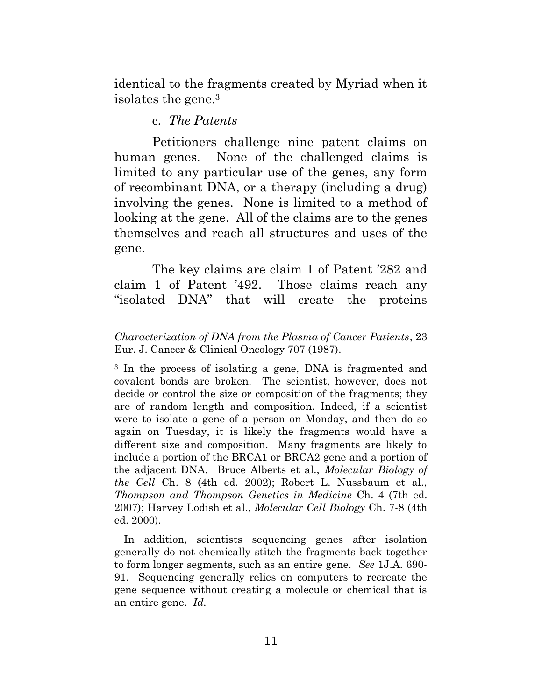identical to the fragments created by Myriad when it isolates the gene.3

#### c. *The Patents*

 $\overline{a}$ 

 Petitioners challenge nine patent claims on human genes. None of the challenged claims is limited to any particular use of the genes, any form of recombinant DNA, or a therapy (including a drug) involving the genes. None is limited to a method of looking at the gene. All of the claims are to the genes themselves and reach all structures and uses of the gene.

<span id="page-20-0"></span>The key claims are claim 1 of Patent '282 and claim 1 of Patent '492. Those claims reach any "isolated DNA" that will create the proteins

3 In the process of isolating a gene, DNA is fragmented and covalent bonds are broken. The scientist, however, does not decide or control the size or composition of the fragments; they are of random length and composition. Indeed, if a scientist were to isolate a gene of a person on Monday, and then do so again on Tuesday, it is likely the fragments would have a different size and composition. Many fragments are likely to include a portion of the BRCA1 or BRCA2 gene and a portion of the adjacent DNA. Bruce Alberts et al., *Molecular Biology of the Cell* Ch. 8 (4th ed. 2002); Robert L. Nussbaum et al., *Thompson and Thompson Genetics in Medicine* Ch. 4 (7th ed. 2007); Harvey Lodish et al., *Molecular Cell Biology* Ch. 7-8 (4th ed. 2000).

In addition, scientists sequencing genes after isolation generally do not chemically stitch the fragments back together to form longer segments, such as an entire gene. *See* 1J.A. 690- 91. Sequencing generally relies on computers to recreate the gene sequence without creating a molecule or chemical that is an entire gene. *Id.* 

*Characterization of DNA from the Plasma of Cancer Patients*, 23 Eur. J. Cancer & Clinical Oncology 707 (1987).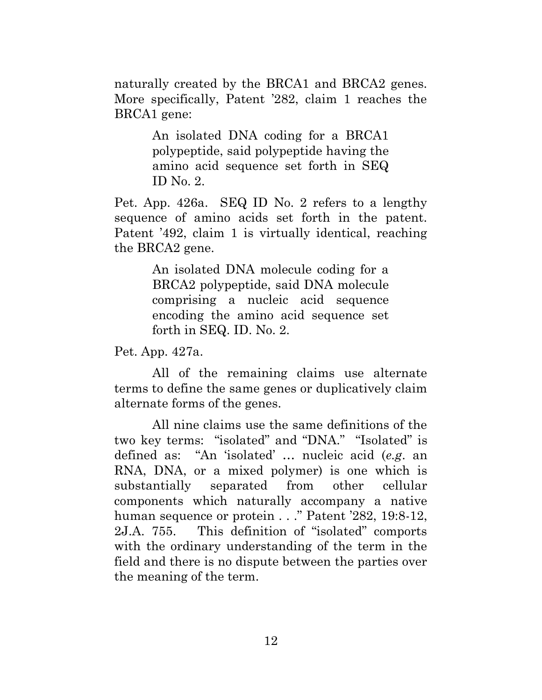naturally created by the BRCA1 and BRCA2 genes. More specifically, Patent '282, claim 1 reaches the BRCA1 gene:

> An isolated DNA coding for a BRCA1 polypeptide, said polypeptide having the amino acid sequence set forth in SEQ ID No. 2.

Pet. App. 426a. SEQ ID No. 2 refers to a lengthy sequence of amino acids set forth in the patent. Patent '492, claim 1 is virtually identical, reaching the BRCA2 gene.

> An isolated DNA molecule coding for a BRCA2 polypeptide, said DNA molecule comprising a nucleic acid sequence encoding the amino acid sequence set forth in SEQ. ID. No. 2.

Pet. App. 427a.

All of the remaining claims use alternate terms to define the same genes or duplicatively claim alternate forms of the genes.

 All nine claims use the same definitions of the two key terms: "isolated" and "DNA." "Isolated" is defined as: "An 'isolated' … nucleic acid (*e.g*. an RNA, DNA, or a mixed polymer) is one which is substantially separated from other cellular components which naturally accompany a native human sequence or protein . . ." Patent '282, 19:8-12, 2J.A. 755. This definition of "isolated" comports with the ordinary understanding of the term in the field and there is no dispute between the parties over the meaning of the term.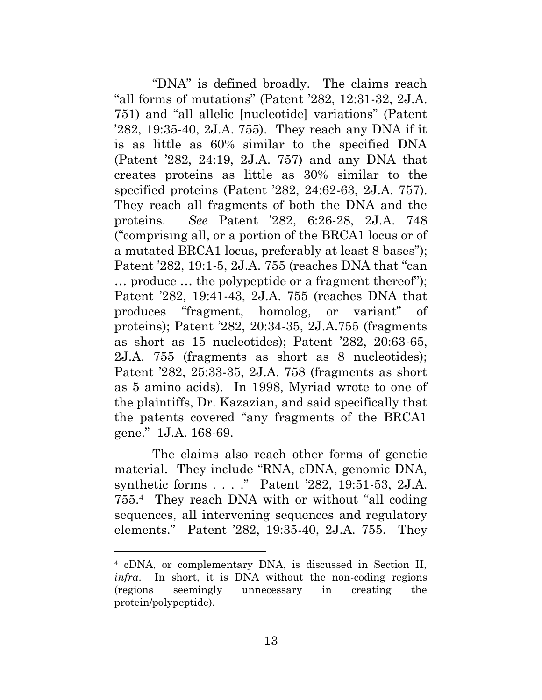"DNA" is defined broadly. The claims reach "all forms of mutations" (Patent '282, 12:31-32, 2J.A. 751) and "all allelic [nucleotide] variations" (Patent '282, 19:35-40, 2J.A. 755). They reach any DNA if it is as little as 60% similar to the specified DNA (Patent '282, 24:19, 2J.A. 757) and any DNA that creates proteins as little as 30% similar to the specified proteins (Patent '282, 24:62-63, 2J.A. 757). They reach all fragments of both the DNA and the proteins. *See* Patent '282, 6:26-28, 2J.A. 748 ("comprising all, or a portion of the BRCA1 locus or of a mutated BRCA1 locus, preferably at least 8 bases"); Patent '282, 19:1-5, 2J.A. 755 (reaches DNA that "can … produce … the polypeptide or a fragment thereof"); Patent '282, 19:41-43, 2J.A. 755 (reaches DNA that produces "fragment, homolog, or variant" of proteins); Patent '282, 20:34-35, 2J.A.755 (fragments as short as 15 nucleotides); Patent '282, 20:63-65, 2J.A. 755 (fragments as short as 8 nucleotides); Patent '282, 25:33-35, 2J.A. 758 (fragments as short as 5 amino acids). In 1998, Myriad wrote to one of the plaintiffs, Dr. Kazazian, and said specifically that the patents covered "any fragments of the BRCA1 gene." 1J.A. 168-69.

The claims also reach other forms of genetic material. They include "RNA, cDNA, genomic DNA, synthetic forms . . . ." Patent '282, 19:51-53, 2J.A. 755.4 They reach DNA with or without "all coding sequences, all intervening sequences and regulatory elements." Patent '282, 19:35-40, 2J.A. 755. They

 $\overline{a}$ 

<sup>4</sup> cDNA, or complementary DNA, is discussed in Section II, *infra*. In short, it is DNA without the non-coding regions (regions seemingly unnecessary in creating the protein/polypeptide).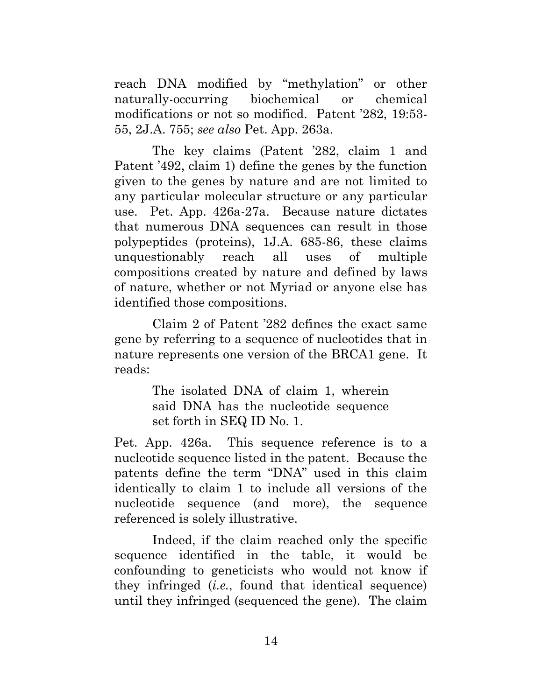reach DNA modified by "methylation" or other naturally-occurring biochemical or chemical modifications or not so modified. Patent '282, 19:53- 55, 2J.A. 755; *see also* Pet. App. 263a.

The key claims (Patent '282, claim 1 and Patent '492, claim 1) define the genes by the function given to the genes by nature and are not limited to any particular molecular structure or any particular use. Pet. App. 426a-27a. Because nature dictates that numerous DNA sequences can result in those polypeptides (proteins), 1J.A. 685-86, these claims unquestionably reach all uses of multiple compositions created by nature and defined by laws of nature, whether or not Myriad or anyone else has identified those compositions.

Claim 2 of Patent '282 defines the exact same gene by referring to a sequence of nucleotides that in nature represents one version of the BRCA1 gene. It reads:

> The isolated DNA of claim 1, wherein said DNA has the nucleotide sequence set forth in SEQ ID No. 1.

Pet. App. 426a. This sequence reference is to a nucleotide sequence listed in the patent. Because the patents define the term "DNA" used in this claim identically to claim 1 to include all versions of the nucleotide sequence (and more), the sequence referenced is solely illustrative.

 Indeed, if the claim reached only the specific sequence identified in the table, it would be confounding to geneticists who would not know if they infringed (*i.e.*, found that identical sequence) until they infringed (sequenced the gene). The claim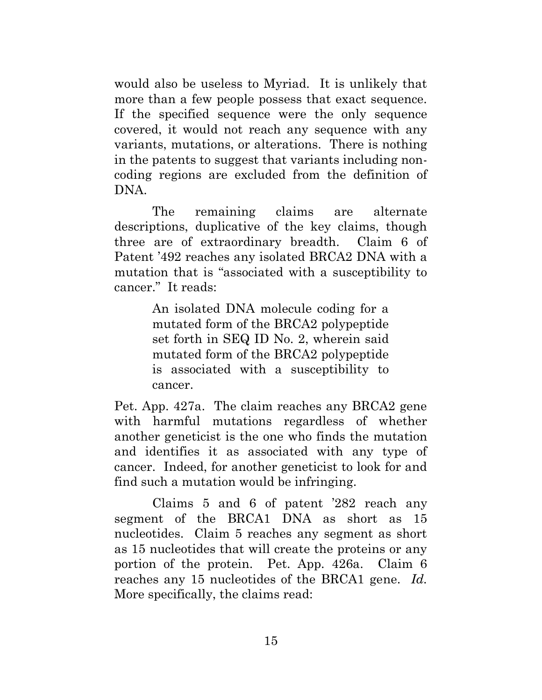would also be useless to Myriad. It is unlikely that more than a few people possess that exact sequence. If the specified sequence were the only sequence covered, it would not reach any sequence with any variants, mutations, or alterations. There is nothing in the patents to suggest that variants including noncoding regions are excluded from the definition of DNA.

The remaining claims are alternate descriptions, duplicative of the key claims, though three are of extraordinary breadth. Claim 6 of Patent '492 reaches any isolated BRCA2 DNA with a mutation that is "associated with a susceptibility to cancer." It reads:

> An isolated DNA molecule coding for a mutated form of the BRCA2 polypeptide set forth in SEQ ID No. 2, wherein said mutated form of the BRCA2 polypeptide is associated with a susceptibility to cancer.

Pet. App. 427a. The claim reaches any BRCA2 gene with harmful mutations regardless of whether another geneticist is the one who finds the mutation and identifies it as associated with any type of cancer. Indeed, for another geneticist to look for and find such a mutation would be infringing.

Claims 5 and 6 of patent '282 reach any segment of the BRCA1 DNA as short as 15 nucleotides. Claim 5 reaches any segment as short as 15 nucleotides that will create the proteins or any portion of the protein. Pet. App. 426a. Claim 6 reaches any 15 nucleotides of the BRCA1 gene. *Id.* More specifically, the claims read: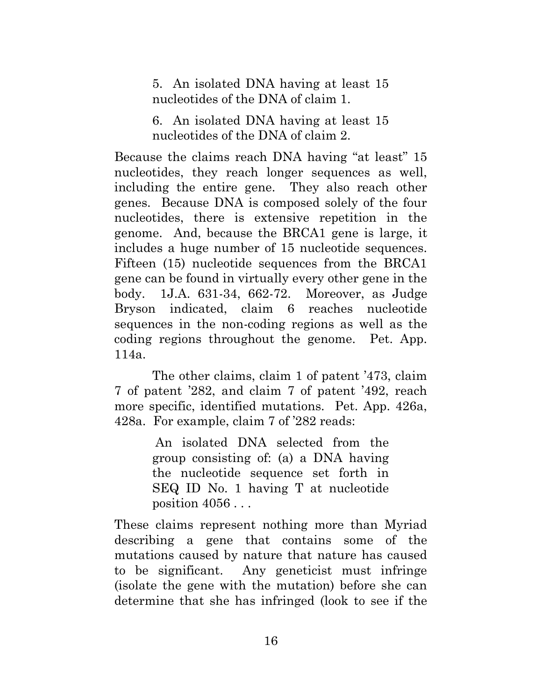5. An isolated DNA having at least 15 nucleotides of the DNA of claim 1.

6. An isolated DNA having at least 15 nucleotides of the DNA of claim 2.

Because the claims reach DNA having "at least" 15 nucleotides, they reach longer sequences as well, including the entire gene. They also reach other genes. Because DNA is composed solely of the four nucleotides, there is extensive repetition in the genome. And, because the BRCA1 gene is large, it includes a huge number of 15 nucleotide sequences. Fifteen (15) nucleotide sequences from the BRCA1 gene can be found in virtually every other gene in the body. 1J.A. 631-34, 662-72. Moreover, as Judge Bryson indicated, claim 6 reaches nucleotide sequences in the non-coding regions as well as the coding regions throughout the genome. Pet. App. 114a.

The other claims, claim 1 of patent '473, claim 7 of patent '282, and claim 7 of patent '492, reach more specific, identified mutations. Pet. App. 426a, 428a. For example, claim 7 of '282 reads:

> An isolated DNA selected from the group consisting of: (a) a DNA having the nucleotide sequence set forth in SEQ ID No. 1 having T at nucleotide position  $4056...$

These claims represent nothing more than Myriad describing a gene that contains some of the mutations caused by nature that nature has caused to be significant. Any geneticist must infringe (isolate the gene with the mutation) before she can determine that she has infringed (look to see if the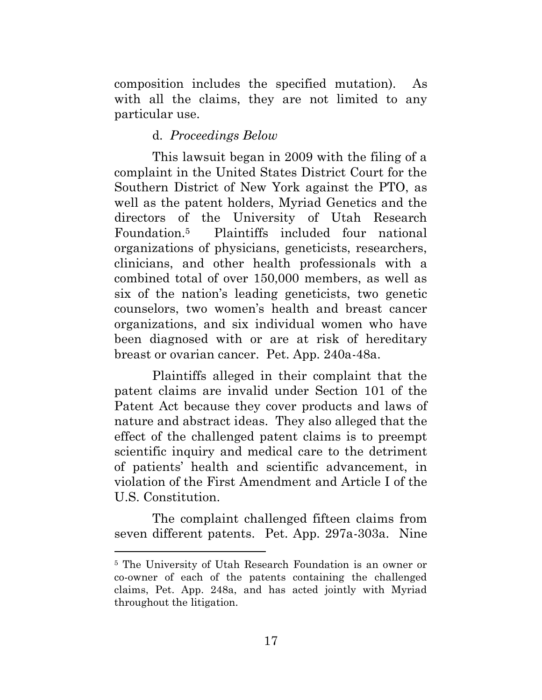composition includes the specified mutation). As with all the claims, they are not limited to any particular use.

#### <span id="page-26-0"></span>d. *Proceedings Below*

This lawsuit began in 2009 with the filing of a complaint in the United States District Court for the Southern District of New York against the PTO, as well as the patent holders, Myriad Genetics and the directors of the University of Utah Research Foundation.5 Plaintiffs included four national organizations of physicians, geneticists, researchers, clinicians, and other health professionals with a combined total of over 150,000 members, as well as six of the nation's leading geneticists, two genetic counselors, two women's health and breast cancer organizations, and six individual women who have been diagnosed with or are at risk of hereditary breast or ovarian cancer. Pet. App. 240a-48a.

Plaintiffs alleged in their complaint that the patent claims are invalid under Section 101 of the Patent Act because they cover products and laws of nature and abstract ideas. They also alleged that the effect of the challenged patent claims is to preempt scientific inquiry and medical care to the detriment of patients' health and scientific advancement, in violation of the First Amendment and Article I of the U.S. Constitution.

 The complaint challenged fifteen claims from seven different patents. Pet. App. 297a-303a. Nine

 $\overline{a}$ 

<sup>5</sup> The University of Utah Research Foundation is an owner or co-owner of each of the patents containing the challenged claims, Pet. App. 248a, and has acted jointly with Myriad throughout the litigation.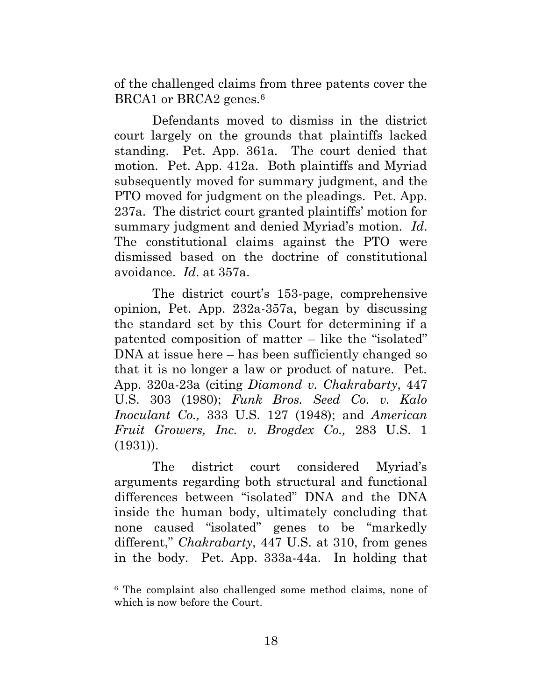of the challenged claims from three patents cover the BRCA1 or BRCA2 genes.<sup>6</sup>

 Defendants moved to dismiss in the district court largely on the grounds that plaintiffs lacked standing. Pet. App. 361a. The court denied that motion. Pet. App. 412a. Both plaintiffs and Myriad subsequently moved for summary judgment, and the PTO moved for judgment on the pleadings. Pet. App. 237a. The district court granted plaintiffs' motion for summary judgment and denied Myriad's motion. *Id*. The constitutional claims against the PTO were dismissed based on the doctrine of constitutional avoidance. *Id*. at 357a.

The district court's 153-page, comprehensive opinion, Pet. App. 232a-357a, began by discussing the standard set by this Court for determining if a patented composition of matter – like the "isolated" DNA at issue here – has been sufficiently changed so that it is no longer a law or product of nature. Pet. App. 320a-23a (citing *Diamond v. Chakrabarty*, 447 U.S. 303 (1980); *Funk Bros. Seed Co. v. Kalo Inoculant Co.,* 333 U.S. 127 (1948); and *American Fruit Growers, Inc. v. Brogdex Co.,* 283 U.S. 1 (1931)).

The district court considered Myriad's arguments regarding both structural and functional differences between "isolated" DNA and the DNA inside the human body, ultimately concluding that none caused "isolated" genes to be "markedly different," *Chakrabarty*, 447 U.S. at 310, from genes in the body. Pet. App. 333a-44a. In holding that

 $\overline{a}$ 

<sup>6</sup> The complaint also challenged some method claims, none of which is now before the Court.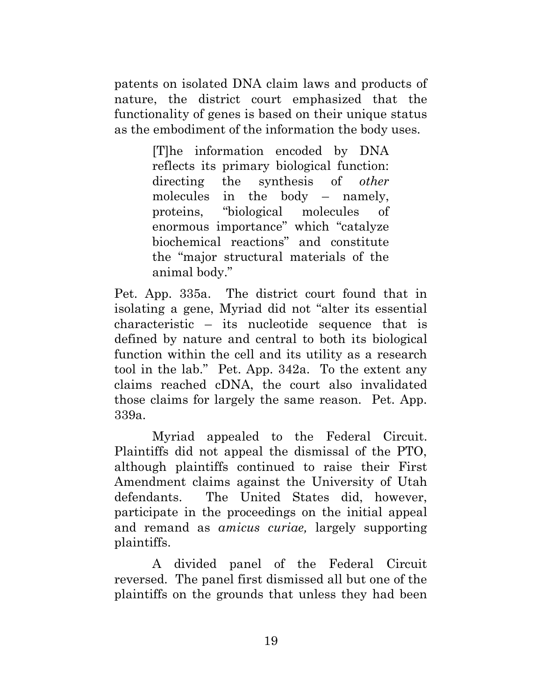patents on isolated DNA claim laws and products of nature, the district court emphasized that the functionality of genes is based on their unique status as the embodiment of the information the body uses.

> [T]he information encoded by DNA reflects its primary biological function: directing the synthesis of *other* molecules in the body – namely, proteins, "biological molecules of enormous importance" which "catalyze biochemical reactions" and constitute the "major structural materials of the animal body."

Pet. App. 335a. The district court found that in isolating a gene, Myriad did not "alter its essential characteristic – its nucleotide sequence that is defined by nature and central to both its biological function within the cell and its utility as a research tool in the lab." Pet. App. 342a. To the extent any claims reached cDNA, the court also invalidated those claims for largely the same reason. Pet. App. 339a.

 Myriad appealed to the Federal Circuit. Plaintiffs did not appeal the dismissal of the PTO, although plaintiffs continued to raise their First Amendment claims against the University of Utah defendants. The United States did, however, participate in the proceedings on the initial appeal and remand as *amicus curiae,* largely supporting plaintiffs.

 A divided panel of the Federal Circuit reversed. The panel first dismissed all but one of the plaintiffs on the grounds that unless they had been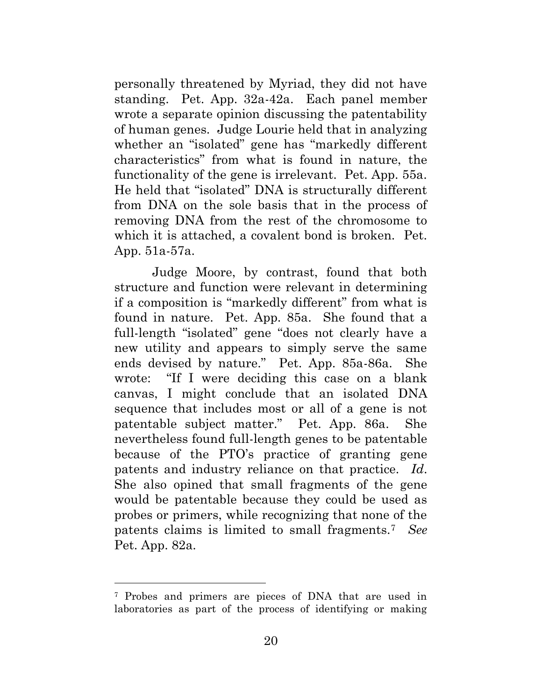personally threatened by Myriad, they did not have standing. Pet. App. 32a-42a. Each panel member wrote a separate opinion discussing the patentability of human genes. Judge Lourie held that in analyzing whether an "isolated" gene has "markedly different characteristics" from what is found in nature, the functionality of the gene is irrelevant. Pet. App. 55a. He held that "isolated" DNA is structurally different from DNA on the sole basis that in the process of removing DNA from the rest of the chromosome to which it is attached, a covalent bond is broken. Pet. App. 51a-57a.

Judge Moore, by contrast, found that both structure and function were relevant in determining if a composition is "markedly different" from what is found in nature. Pet. App. 85a. She found that a full-length "isolated" gene "does not clearly have a new utility and appears to simply serve the same ends devised by nature." Pet. App. 85a-86a. She wrote: "If I were deciding this case on a blank canvas, I might conclude that an isolated DNA sequence that includes most or all of a gene is not patentable subject matter." Pet. App. 86a. She nevertheless found full-length genes to be patentable because of the PTO's practice of granting gene patents and industry reliance on that practice. *Id*. She also opined that small fragments of the gene would be patentable because they could be used as probes or primers, while recognizing that none of the patents claims is limited to small fragments.7 *See* Pet. App. 82a.

 $\overline{a}$ 

<sup>7</sup> Probes and primers are pieces of DNA that are used in laboratories as part of the process of identifying or making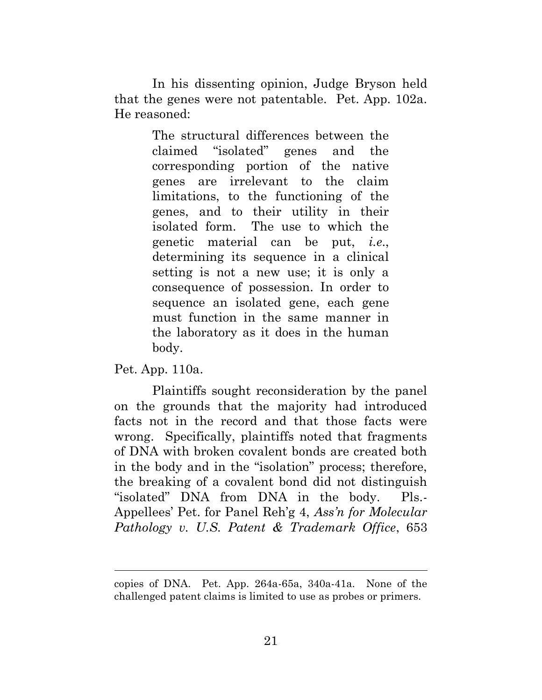In his dissenting opinion, Judge Bryson held that the genes were not patentable. Pet. App. 102a. He reasoned:

> The structural differences between the claimed "isolated" genes and the corresponding portion of the native genes are irrelevant to the claim limitations, to the functioning of the genes, and to their utility in their isolated form. The use to which the genetic material can be put, *i.e*., determining its sequence in a clinical setting is not a new use; it is only a consequence of possession. In order to sequence an isolated gene, each gene must function in the same manner in the laboratory as it does in the human body.

Pet. App. 110a.

 $\overline{a}$ 

 Plaintiffs sought reconsideration by the panel on the grounds that the majority had introduced facts not in the record and that those facts were wrong. Specifically, plaintiffs noted that fragments of DNA with broken covalent bonds are created both in the body and in the "isolation" process; therefore, the breaking of a covalent bond did not distinguish "isolated" DNA from DNA in the body. Pls.- Appellees' Pet. for Panel Reh'g 4, *Ass'n for Molecular Pathology v. U.S. Patent & Trademark Office*, 653

copies of DNA. Pet. App. 264a-65a, 340a-41a. None of the challenged patent claims is limited to use as probes or primers.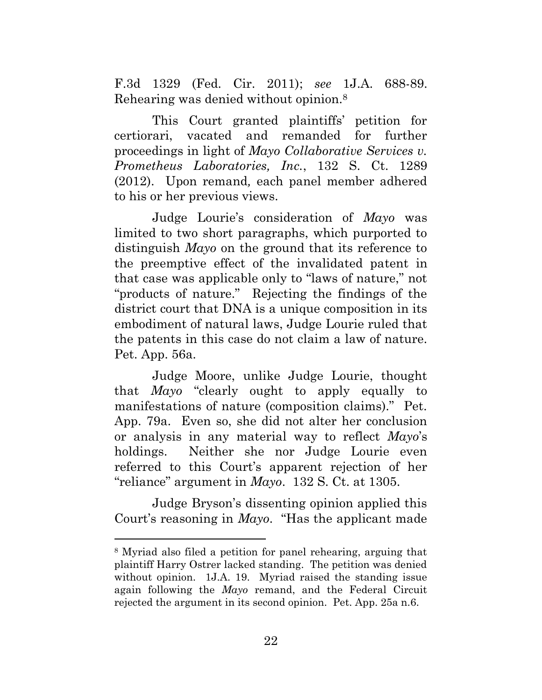F.3d 1329 (Fed. Cir. 2011); *see* 1J.A. 688-89. Rehearing was denied without opinion.8

This Court granted plaintiffs' petition for certiorari, vacated and remanded for further proceedings in light of *Mayo Collaborative Services v. Prometheus Laboratories, Inc.*, 132 S. Ct. 1289 (2012). Upon remand*,* each panel member adhered to his or her previous views.

Judge Lourie's consideration of *Mayo* was limited to two short paragraphs, which purported to distinguish *Mayo* on the ground that its reference to the preemptive effect of the invalidated patent in that case was applicable only to "laws of nature," not "products of nature." Rejecting the findings of the district court that DNA is a unique composition in its embodiment of natural laws, Judge Lourie ruled that the patents in this case do not claim a law of nature. Pet. App. 56a.

Judge Moore, unlike Judge Lourie, thought that *Mayo* "clearly ought to apply equally to manifestations of nature (composition claims)." Pet. App. 79a. Even so, she did not alter her conclusion or analysis in any material way to reflect *Mayo*'s holdings. Neither she nor Judge Lourie even referred to this Court's apparent rejection of her "reliance" argument in *Mayo*. 132 S. Ct. at 1305.

Judge Bryson's dissenting opinion applied this Court's reasoning in *Mayo*. "Has the applicant made

 $\overline{a}$ 

<sup>8</sup> Myriad also filed a petition for panel rehearing, arguing that plaintiff Harry Ostrer lacked standing. The petition was denied without opinion. 1J.A. 19. Myriad raised the standing issue again following the *Mayo* remand, and the Federal Circuit rejected the argument in its second opinion. Pet. App. 25a n.6.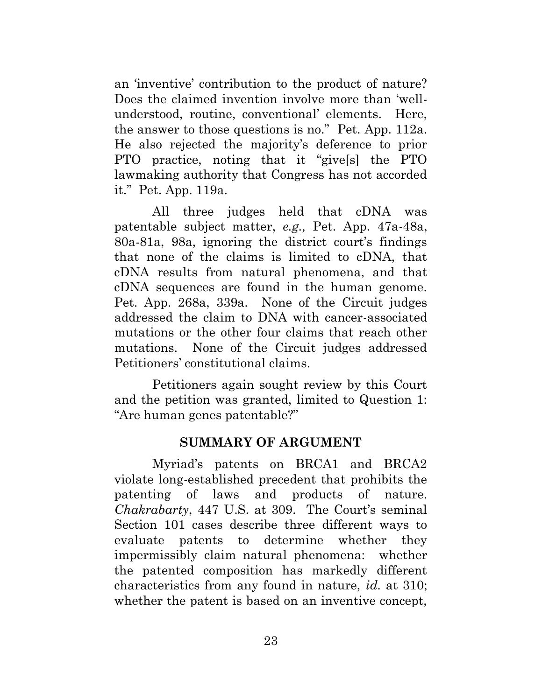an 'inventive' contribution to the product of nature? Does the claimed invention involve more than 'wellunderstood, routine, conventional' elements. Here, the answer to those questions is no." Pet. App. 112a. He also rejected the majority's deference to prior PTO practice, noting that it "give[s] the PTO lawmaking authority that Congress has not accorded it." Pet. App. 119a.

All three judges held that cDNA was patentable subject matter, *e.g.,* Pet. App. 47a-48a, 80a-81a, 98a, ignoring the district court's findings that none of the claims is limited to cDNA, that cDNA results from natural phenomena, and that cDNA sequences are found in the human genome. Pet. App. 268a, 339a. None of the Circuit judges addressed the claim to DNA with cancer-associated mutations or the other four claims that reach other mutations. None of the Circuit judges addressed Petitioners' constitutional claims.

Petitioners again sought review by this Court and the petition was granted, limited to Question 1: "Are human genes patentable?"

#### <span id="page-32-0"></span>**SUMMARY OF ARGUMENT**

Myriad's patents on BRCA1 and BRCA2 violate long-established precedent that prohibits the patenting of laws and products of nature. *Chakrabarty*, 447 U.S. at 309. The Court's seminal Section 101 cases describe three different ways to evaluate patents to determine whether they impermissibly claim natural phenomena: whether the patented composition has markedly different characteristics from any found in nature, *id.* at 310; whether the patent is based on an inventive concept,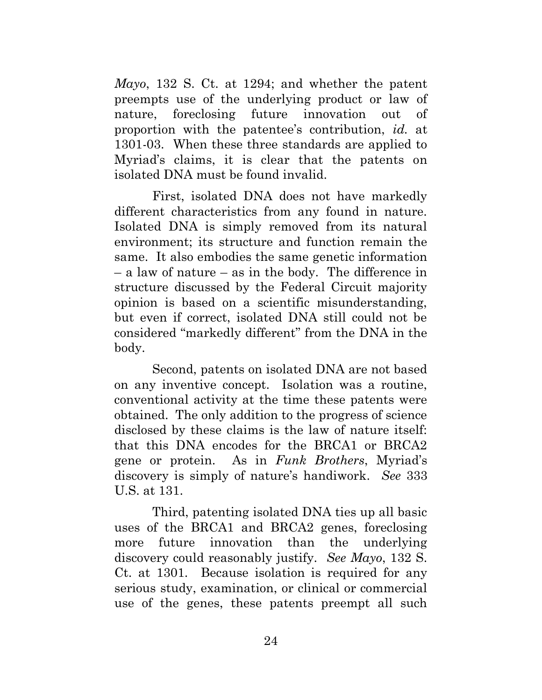*Mayo*, 132 S. Ct. at 1294; and whether the patent preempts use of the underlying product or law of nature, foreclosing future innovation out of proportion with the patentee's contribution, *id.* at 1301-03. When these three standards are applied to Myriad's claims, it is clear that the patents on isolated DNA must be found invalid.

First, isolated DNA does not have markedly different characteristics from any found in nature. Isolated DNA is simply removed from its natural environment; its structure and function remain the same. It also embodies the same genetic information – a law of nature – as in the body. The difference in structure discussed by the Federal Circuit majority opinion is based on a scientific misunderstanding, but even if correct, isolated DNA still could not be considered "markedly different" from the DNA in the body.

Second, patents on isolated DNA are not based on any inventive concept. Isolation was a routine, conventional activity at the time these patents were obtained. The only addition to the progress of science disclosed by these claims is the law of nature itself: that this DNA encodes for the BRCA1 or BRCA2 gene or protein. As in *Funk Brothers*, Myriad's discovery is simply of nature's handiwork. *See* 333 U.S. at 131.

Third, patenting isolated DNA ties up all basic uses of the BRCA1 and BRCA2 genes, foreclosing more future innovation than the underlying discovery could reasonably justify. *See Mayo*, 132 S. Ct. at 1301. Because isolation is required for any serious study, examination, or clinical or commercial use of the genes, these patents preempt all such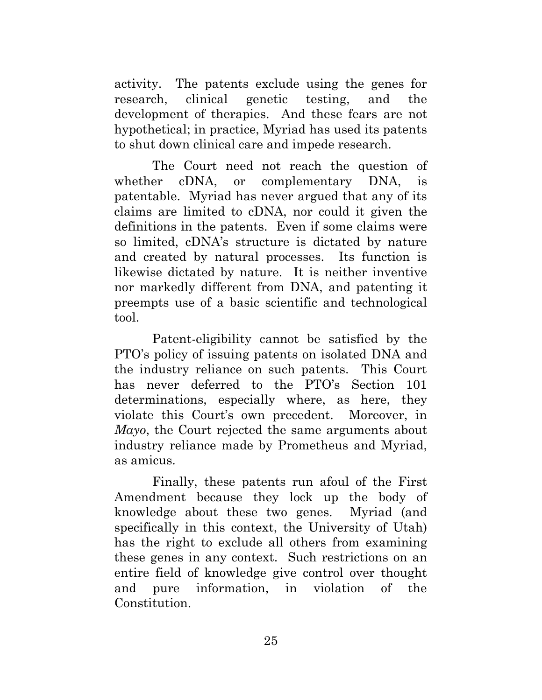activity. The patents exclude using the genes for research, clinical genetic testing, and the development of therapies. And these fears are not hypothetical; in practice, Myriad has used its patents to shut down clinical care and impede research.

The Court need not reach the question of whether cDNA, or complementary DNA, is patentable. Myriad has never argued that any of its claims are limited to cDNA, nor could it given the definitions in the patents. Even if some claims were so limited, cDNA's structure is dictated by nature and created by natural processes. Its function is likewise dictated by nature. It is neither inventive nor markedly different from DNA, and patenting it preempts use of a basic scientific and technological tool.

Patent-eligibility cannot be satisfied by the PTO's policy of issuing patents on isolated DNA and the industry reliance on such patents. This Court has never deferred to the PTO's Section 101 determinations, especially where, as here, they violate this Court's own precedent. Moreover, in *Mayo*, the Court rejected the same arguments about industry reliance made by Prometheus and Myriad, as amicus.

Finally, these patents run afoul of the First Amendment because they lock up the body of knowledge about these two genes. Myriad (and specifically in this context, the University of Utah) has the right to exclude all others from examining these genes in any context. Such restrictions on an entire field of knowledge give control over thought and pure information, in violation of the Constitution.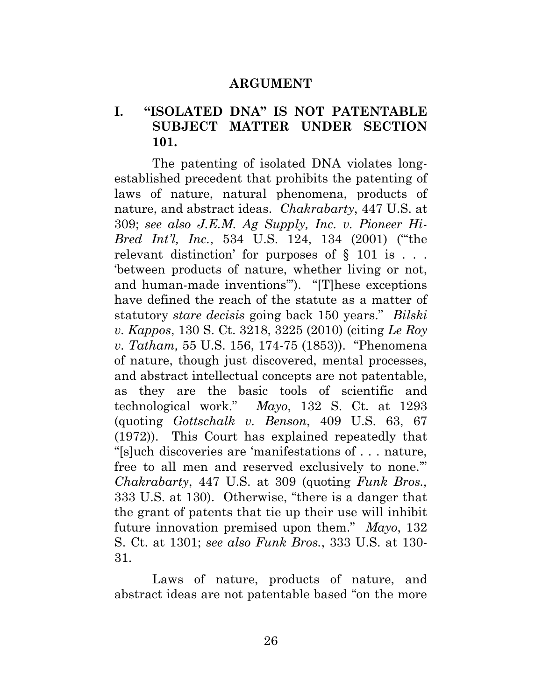#### <span id="page-35-0"></span>**ARGUMENT**

#### **I. "ISOLATED DNA" IS NOT PATENTABLE SUBJECT MATTER UNDER SECTION 101.**

<span id="page-35-1"></span>The patenting of isolated DNA violates longestablished precedent that prohibits the patenting of laws of nature, natural phenomena, products of nature, and abstract ideas. *Chakrabarty*, 447 U.S. at 309; *see also J.E.M. Ag Supply, Inc. v. Pioneer Hi-Bred Int'l, Inc.*, 534 U.S. 124, 134 (2001) ("'the relevant distinction' for purposes of  $\S$  101 is ... 'between products of nature, whether living or not, and human-made inventions'"). "[T]hese exceptions have defined the reach of the statute as a matter of statutory *stare decisis* going back 150 years." *Bilski v. Kappos*, 130 S. Ct. 3218, 3225 (2010) (citing *Le Roy v. Tatham,* 55 U.S. 156, 174-75 (1853)). "Phenomena of nature, though just discovered, mental processes, and abstract intellectual concepts are not patentable, as they are the basic tools of scientific and technological work." *Mayo*, 132 S. Ct. at 1293 (quoting *Gottschalk v. Benson*, 409 U.S. 63, 67 (1972)). This Court has explained repeatedly that "[s]uch discoveries are 'manifestations of . . . nature, free to all men and reserved exclusively to none.'" *Chakrabarty*, 447 U.S. at 309 (quoting *Funk Bros.,* 333 U.S. at 130). Otherwise, "there is a danger that the grant of patents that tie up their use will inhibit future innovation premised upon them." *Mayo*, 132 S. Ct. at 1301; *see also Funk Bros.*, 333 U.S. at 130- 31.

Laws of nature, products of nature, and abstract ideas are not patentable based "on the more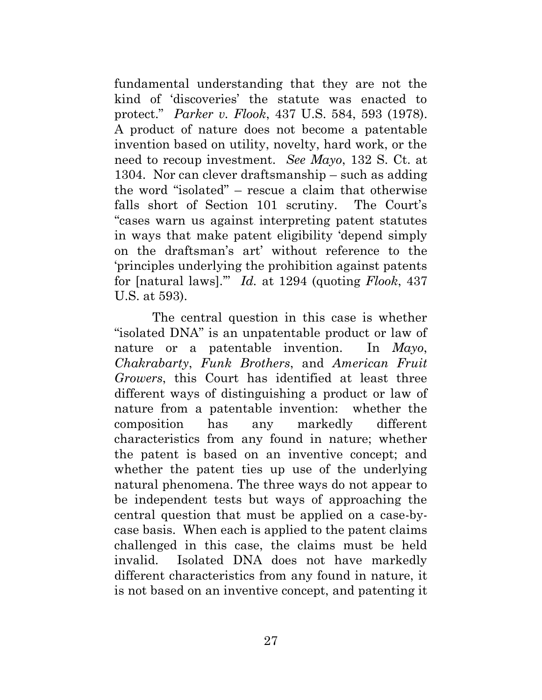fundamental understanding that they are not the kind of 'discoveries' the statute was enacted to protect." *Parker v. Flook*, 437 U.S. 584, 593 (1978). A product of nature does not become a patentable invention based on utility, novelty, hard work, or the need to recoup investment. *See Mayo*, 132 S. Ct. at 1304. Nor can clever draftsmanship – such as adding the word "isolated" – rescue a claim that otherwise falls short of Section 101 scrutiny. The Court's "cases warn us against interpreting patent statutes in ways that make patent eligibility 'depend simply on the draftsman's art' without reference to the 'principles underlying the prohibition against patents for [natural laws].'" *Id.* at 1294 (quoting *Flook*, 437 U.S. at 593).

The central question in this case is whether "isolated DNA" is an unpatentable product or law of nature or a patentable invention. In *Mayo*, *Chakrabarty*, *Funk Brothers*, and *American Fruit Growers*, this Court has identified at least three different ways of distinguishing a product or law of nature from a patentable invention: whether the composition has any markedly different characteristics from any found in nature; whether the patent is based on an inventive concept; and whether the patent ties up use of the underlying natural phenomena. The three ways do not appear to be independent tests but ways of approaching the central question that must be applied on a case-bycase basis. When each is applied to the patent claims challenged in this case, the claims must be held invalid. Isolated DNA does not have markedly different characteristics from any found in nature, it is not based on an inventive concept, and patenting it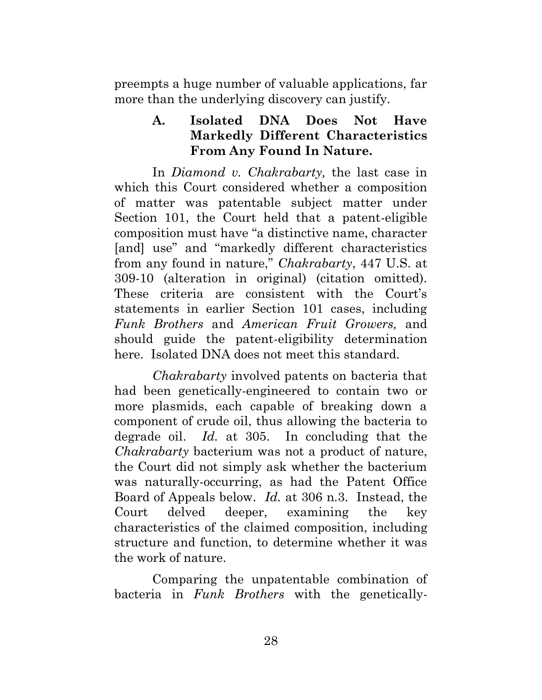preempts a huge number of valuable applications, far more than the underlying discovery can justify.

## <span id="page-37-0"></span>**A. Isolated DNA Does Not Have Markedly Different Characteristics From Any Found In Nature.**

In *Diamond v. Chakrabarty,* the last case in which this Court considered whether a composition of matter was patentable subject matter under Section 101, the Court held that a patent-eligible composition must have "a distinctive name, character [and] use" and "markedly different characteristics from any found in nature," *Chakrabarty*, 447 U.S. at 309-10 (alteration in original) (citation omitted). These criteria are consistent with the Court's statements in earlier Section 101 cases, including *Funk Brothers* and *American Fruit Growers,* and should guide the patent-eligibility determination here. Isolated DNA does not meet this standard.

*Chakrabarty* involved patents on bacteria that had been genetically-engineered to contain two or more plasmids, each capable of breaking down a component of crude oil, thus allowing the bacteria to degrade oil. *Id.* at 305. In concluding that the *Chakrabarty* bacterium was not a product of nature, the Court did not simply ask whether the bacterium was naturally-occurring, as had the Patent Office Board of Appeals below. *Id.* at 306 n.3. Instead, the Court delved deeper, examining the key characteristics of the claimed composition, including structure and function, to determine whether it was the work of nature.

Comparing the unpatentable combination of bacteria in *Funk Brothers* with the genetically-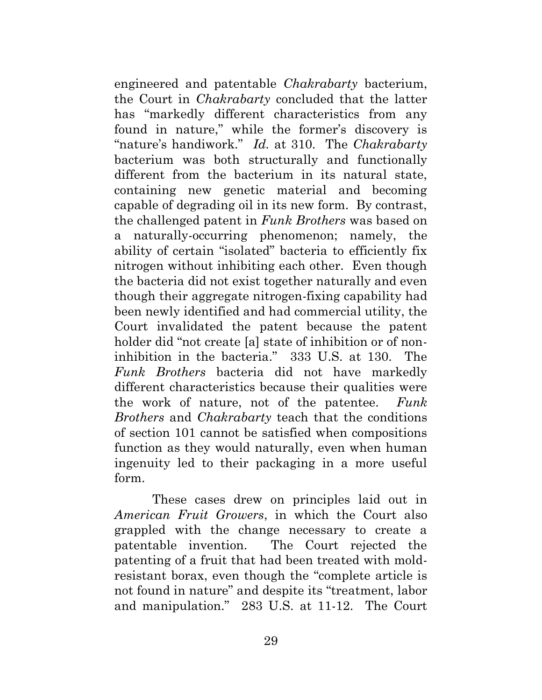engineered and patentable *Chakrabarty* bacterium, the Court in *Chakrabarty* concluded that the latter has "markedly different characteristics from any found in nature," while the former's discovery is "nature's handiwork." *Id.* at 310. The *Chakrabarty* bacterium was both structurally and functionally different from the bacterium in its natural state, containing new genetic material and becoming capable of degrading oil in its new form. By contrast, the challenged patent in *Funk Brothers* was based on a naturally-occurring phenomenon; namely, the ability of certain "isolated" bacteria to efficiently fix nitrogen without inhibiting each other. Even though the bacteria did not exist together naturally and even though their aggregate nitrogen-fixing capability had been newly identified and had commercial utility, the Court invalidated the patent because the patent holder did "not create [a] state of inhibition or of noninhibition in the bacteria." 333 U.S. at 130. The *Funk Brothers* bacteria did not have markedly different characteristics because their qualities were the work of nature, not of the patentee. *Funk Brothers* and *Chakrabarty* teach that the conditions of section 101 cannot be satisfied when compositions function as they would naturally, even when human ingenuity led to their packaging in a more useful form.

These cases drew on principles laid out in *American Fruit Growers*, in which the Court also grappled with the change necessary to create a patentable invention. The Court rejected the patenting of a fruit that had been treated with moldresistant borax, even though the "complete article is not found in nature" and despite its "treatment, labor and manipulation." 283 U.S. at 11-12. The Court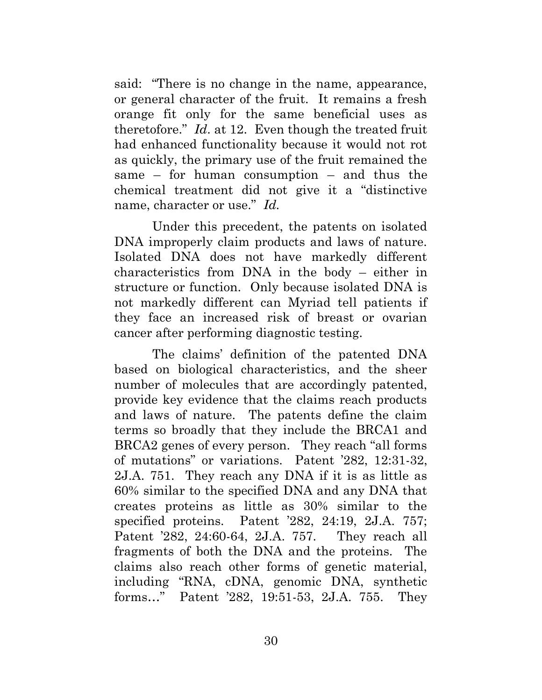said: "There is no change in the name, appearance, or general character of the fruit. It remains a fresh orange fit only for the same beneficial uses as theretofore." *Id*. at 12. Even though the treated fruit had enhanced functionality because it would not rot as quickly, the primary use of the fruit remained the same – for human consumption – and thus the chemical treatment did not give it a "distinctive name, character or use." *Id.*

Under this precedent, the patents on isolated DNA improperly claim products and laws of nature. Isolated DNA does not have markedly different characteristics from DNA in the body – either in structure or function. Only because isolated DNA is not markedly different can Myriad tell patients if they face an increased risk of breast or ovarian cancer after performing diagnostic testing.

The claims' definition of the patented DNA based on biological characteristics, and the sheer number of molecules that are accordingly patented, provide key evidence that the claims reach products and laws of nature. The patents define the claim terms so broadly that they include the BRCA1 and BRCA2 genes of every person. They reach "all forms of mutations" or variations. Patent '282, 12:31-32, 2J.A. 751. They reach any DNA if it is as little as 60% similar to the specified DNA and any DNA that creates proteins as little as 30% similar to the specified proteins. Patent '282, 24:19, 2J.A. 757; Patent '282, 24:60-64, 2J.A. 757. They reach all fragments of both the DNA and the proteins. The claims also reach other forms of genetic material, including "RNA, cDNA, genomic DNA, synthetic forms…" Patent '282, 19:51-53, 2J.A. 755. They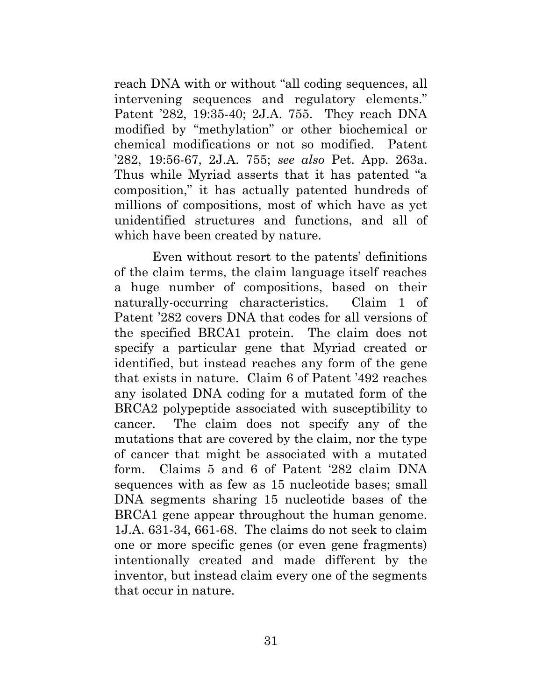reach DNA with or without "all coding sequences, all intervening sequences and regulatory elements." Patent '282, 19:35-40; 2J.A. 755. They reach DNA modified by "methylation" or other biochemical or chemical modifications or not so modified. Patent '282, 19:56-67, 2J.A. 755; *see also* Pet. App. 263a. Thus while Myriad asserts that it has patented "a composition," it has actually patented hundreds of millions of compositions, most of which have as yet unidentified structures and functions, and all of which have been created by nature.

Even without resort to the patents' definitions of the claim terms, the claim language itself reaches a huge number of compositions, based on their naturally-occurring characteristics. Claim 1 of Patent '282 covers DNA that codes for all versions of the specified BRCA1 protein. The claim does not specify a particular gene that Myriad created or identified, but instead reaches any form of the gene that exists in nature. Claim 6 of Patent '492 reaches any isolated DNA coding for a mutated form of the BRCA2 polypeptide associated with susceptibility to cancer. The claim does not specify any of the mutations that are covered by the claim, nor the type of cancer that might be associated with a mutated form. Claims 5 and 6 of Patent '282 claim DNA sequences with as few as 15 nucleotide bases; small DNA segments sharing 15 nucleotide bases of the BRCA1 gene appear throughout the human genome. 1J.A. 631-34, 661-68. The claims do not seek to claim one or more specific genes (or even gene fragments) intentionally created and made different by the inventor, but instead claim every one of the segments that occur in nature.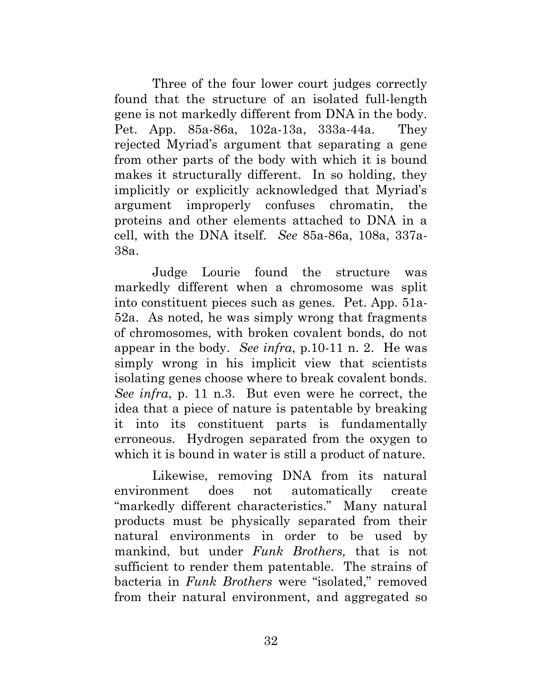Three of the four lower court judges correctly found that the structure of an isolated full-length gene is not markedly different from DNA in the body. Pet. App. 85a-86a, 102a-13a, 333a-44a. They rejected Myriad's argument that separating a gene from other parts of the body with which it is bound makes it structurally different. In so holding, they implicitly or explicitly acknowledged that Myriad's argument improperly confuses chromatin, the proteins and other elements attached to DNA in a cell, with the DNA itself. *See* 85a-86a, 108a, 337a-38a.

Judge Lourie found the structure was markedly different when a chromosome was split into constituent pieces such as genes. Pet. App. 51a-52a. As noted, he was simply wrong that fragments of chromosomes, with broken covalent bonds, do not appear in the body. *See infra*, p.10-11 n. 2. He was simply wrong in his implicit view that scientists isolating genes choose where to break covalent bonds. *See infra*, p. 11 n.3. But even were he correct, the idea that a piece of nature is patentable by breaking it into its constituent parts is fundamentally erroneous. Hydrogen separated from the oxygen to which it is bound in water is still a product of nature.

Likewise, removing DNA from its natural environment does not automatically create "markedly different characteristics." Many natural products must be physically separated from their natural environments in order to be used by mankind, but under *Funk Brothers,* that is not sufficient to render them patentable. The strains of bacteria in *Funk Brothers* were "isolated," removed from their natural environment, and aggregated so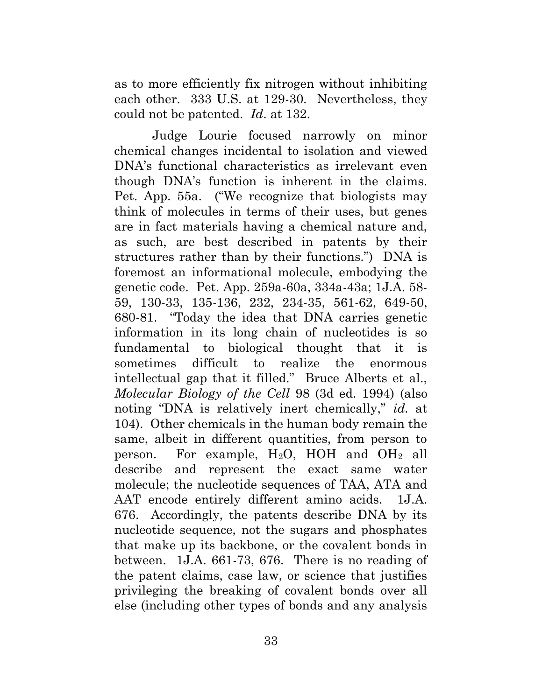as to more efficiently fix nitrogen without inhibiting each other. 333 U.S. at 129-30. Nevertheless, they could not be patented. *Id*. at 132.

Judge Lourie focused narrowly on minor chemical changes incidental to isolation and viewed DNA's functional characteristics as irrelevant even though DNA's function is inherent in the claims. Pet. App. 55a. ("We recognize that biologists may think of molecules in terms of their uses, but genes are in fact materials having a chemical nature and, as such, are best described in patents by their structures rather than by their functions.") DNA is foremost an informational molecule, embodying the genetic code. Pet. App. 259a-60a, 334a-43a; 1J.A. 58- 59, 130-33, 135-136, 232, 234-35, 561-62, 649-50, 680-81. "Today the idea that DNA carries genetic information in its long chain of nucleotides is so fundamental to biological thought that it is sometimes difficult to realize the enormous intellectual gap that it filled." Bruce Alberts et al., *Molecular Biology of the Cell* 98 (3d ed. 1994) (also noting "DNA is relatively inert chemically," *id.* at 104). Other chemicals in the human body remain the same, albeit in different quantities, from person to person. For example,  $H_2O$ , HOH and  $OH_2$  all describe and represent the exact same water molecule; the nucleotide sequences of TAA, ATA and AAT encode entirely different amino acids. 1J.A. 676. Accordingly, the patents describe DNA by its nucleotide sequence, not the sugars and phosphates that make up its backbone, or the covalent bonds in between. 1J.A. 661-73, 676. There is no reading of the patent claims, case law, or science that justifies privileging the breaking of covalent bonds over all else (including other types of bonds and any analysis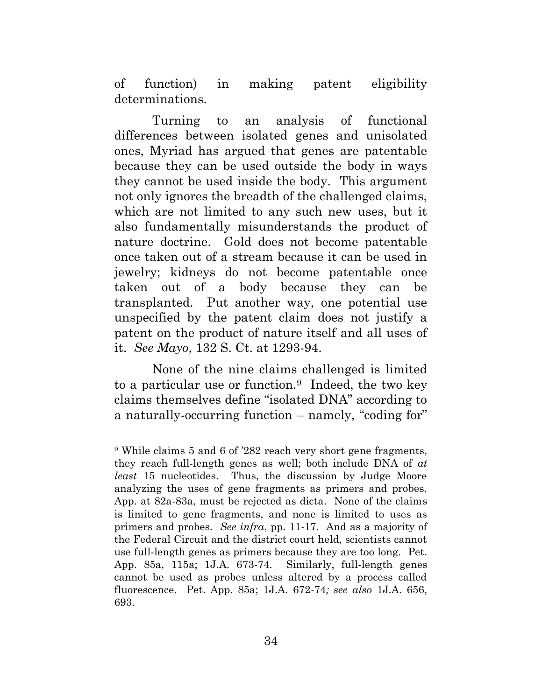of function) in making patent eligibility determinations.

Turning to an analysis of functional differences between isolated genes and unisolated ones, Myriad has argued that genes are patentable because they can be used outside the body in ways they cannot be used inside the body. This argument not only ignores the breadth of the challenged claims, which are not limited to any such new uses, but it also fundamentally misunderstands the product of nature doctrine. Gold does not become patentable once taken out of a stream because it can be used in jewelry; kidneys do not become patentable once taken out of a body because they can be transplanted. Put another way, one potential use unspecified by the patent claim does not justify a patent on the product of nature itself and all uses of it. *See Mayo*, 132 S. Ct. at 1293-94.

None of the nine claims challenged is limited to a particular use or function.9 Indeed, the two key claims themselves define "isolated DNA" according to a naturally-occurring function – namely, "coding for"

 $\overline{a}$ 

<sup>9</sup> While claims 5 and 6 of '282 reach very short gene fragments, they reach full-length genes as well; both include DNA of *at least* 15 nucleotides. Thus, the discussion by Judge Moore analyzing the uses of gene fragments as primers and probes, App. at 82a-83a, must be rejected as dicta. None of the claims is limited to gene fragments, and none is limited to uses as primers and probes. *See infra*, pp. 11-17. And as a majority of the Federal Circuit and the district court held, scientists cannot use full-length genes as primers because they are too long. Pet. App. 85a, 115a; 1J.A. 673-74. Similarly, full-length genes cannot be used as probes unless altered by a process called fluorescence. Pet. App. 85a; 1J.A. 672-74*; see also* 1J.A. 656, 693.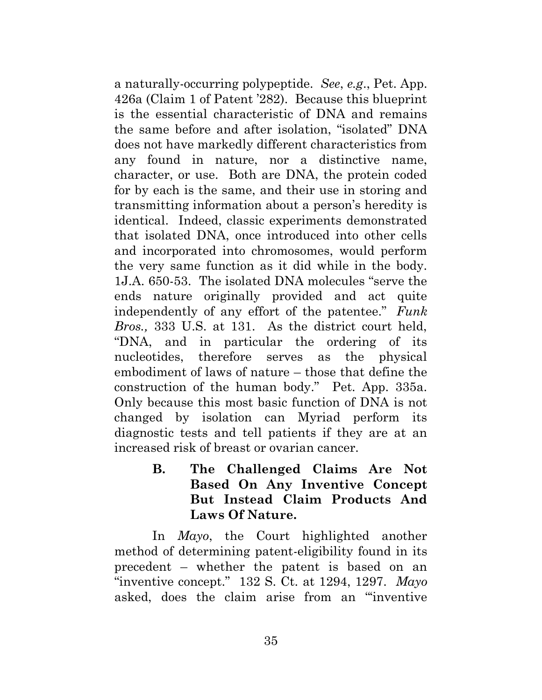a naturally-occurring polypeptide. *See*, *e.g*., Pet. App. 426a (Claim 1 of Patent '282). Because this blueprint is the essential characteristic of DNA and remains the same before and after isolation, "isolated" DNA does not have markedly different characteristics from any found in nature, nor a distinctive name, character, or use. Both are DNA, the protein coded for by each is the same, and their use in storing and transmitting information about a person's heredity is identical. Indeed, classic experiments demonstrated that isolated DNA, once introduced into other cells and incorporated into chromosomes, would perform the very same function as it did while in the body. 1J.A. 650-53. The isolated DNA molecules "serve the ends nature originally provided and act quite independently of any effort of the patentee." *Funk Bros.,* 333 U.S. at 131. As the district court held, "DNA, and in particular the ordering of its nucleotides, therefore serves as the physical embodiment of laws of nature – those that define the construction of the human body." Pet. App. 335a. Only because this most basic function of DNA is not changed by isolation can Myriad perform its diagnostic tests and tell patients if they are at an increased risk of breast or ovarian cancer.

> <span id="page-44-0"></span>**B. The Challenged Claims Are Not Based On Any Inventive Concept But Instead Claim Products And Laws Of Nature.**

In *Mayo*, the Court highlighted another method of determining patent-eligibility found in its precedent – whether the patent is based on an "inventive concept." 132 S. Ct. at 1294, 1297. *Mayo* asked, does the claim arise from an "'inventive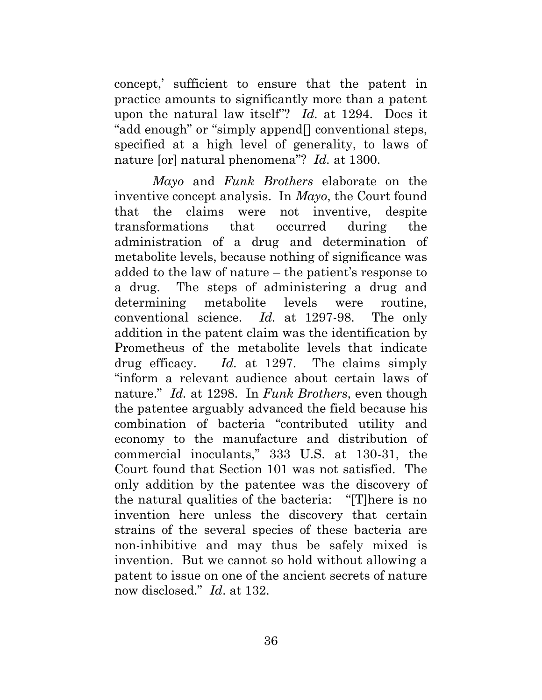concept,' sufficient to ensure that the patent in practice amounts to significantly more than a patent upon the natural law itself"? *Id.* at 1294. Does it "add enough" or "simply append[] conventional steps, specified at a high level of generality, to laws of nature [or] natural phenomena"? *Id.* at 1300.

*Mayo* and *Funk Brothers* elaborate on the inventive concept analysis. In *Mayo*, the Court found that the claims were not inventive, despite transformations that occurred during the administration of a drug and determination of metabolite levels, because nothing of significance was added to the law of nature – the patient's response to a drug. The steps of administering a drug and determining metabolite levels were routine, conventional science. *Id.* at 1297-98. The only addition in the patent claim was the identification by Prometheus of the metabolite levels that indicate drug efficacy. *Id.* at 1297. The claims simply "inform a relevant audience about certain laws of nature." *Id.* at 1298. In *Funk Brothers*, even though the patentee arguably advanced the field because his combination of bacteria "contributed utility and economy to the manufacture and distribution of commercial inoculants," 333 U.S. at 130-31, the Court found that Section 101 was not satisfied. The only addition by the patentee was the discovery of the natural qualities of the bacteria: "[T]here is no invention here unless the discovery that certain strains of the several species of these bacteria are non-inhibitive and may thus be safely mixed is invention. But we cannot so hold without allowing a patent to issue on one of the ancient secrets of nature now disclosed." *Id*. at 132.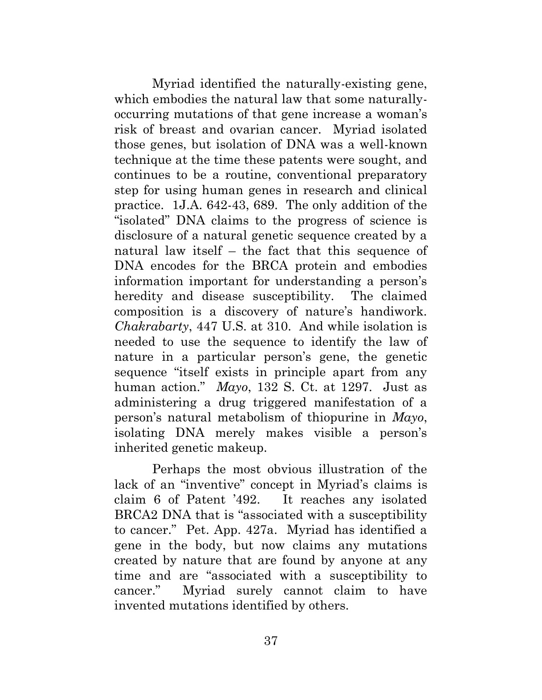Myriad identified the naturally-existing gene, which embodies the natural law that some naturallyoccurring mutations of that gene increase a woman's risk of breast and ovarian cancer. Myriad isolated those genes, but isolation of DNA was a well-known technique at the time these patents were sought, and continues to be a routine, conventional preparatory step for using human genes in research and clinical practice. 1J.A. 642-43, 689. The only addition of the "isolated" DNA claims to the progress of science is disclosure of a natural genetic sequence created by a natural law itself – the fact that this sequence of DNA encodes for the BRCA protein and embodies information important for understanding a person's heredity and disease susceptibility. The claimed composition is a discovery of nature's handiwork. *Chakrabarty*, 447 U.S. at 310. And while isolation is needed to use the sequence to identify the law of nature in a particular person's gene, the genetic sequence "itself exists in principle apart from any human action." *Mayo*, 132 S. Ct. at 1297. Just as administering a drug triggered manifestation of a person's natural metabolism of thiopurine in *Mayo*, isolating DNA merely makes visible a person's inherited genetic makeup.

Perhaps the most obvious illustration of the lack of an "inventive" concept in Myriad's claims is claim 6 of Patent '492. It reaches any isolated BRCA2 DNA that is "associated with a susceptibility to cancer." Pet. App. 427a. Myriad has identified a gene in the body, but now claims any mutations created by nature that are found by anyone at any time and are "associated with a susceptibility to cancer." Myriad surely cannot claim to have invented mutations identified by others.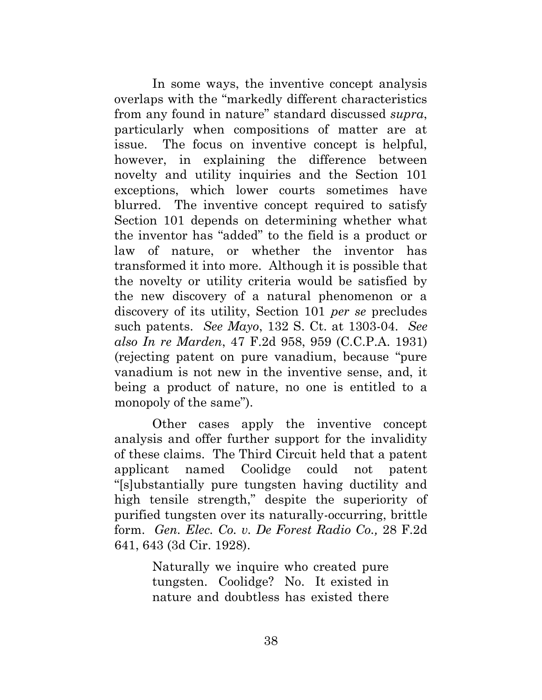In some ways, the inventive concept analysis overlaps with the "markedly different characteristics from any found in nature" standard discussed *supra*, particularly when compositions of matter are at issue. The focus on inventive concept is helpful, however, in explaining the difference between novelty and utility inquiries and the Section 101 exceptions, which lower courts sometimes have blurred. The inventive concept required to satisfy Section 101 depends on determining whether what the inventor has "added" to the field is a product or law of nature, or whether the inventor has transformed it into more. Although it is possible that the novelty or utility criteria would be satisfied by the new discovery of a natural phenomenon or a discovery of its utility, Section 101 *per se* precludes such patents. *See Mayo*, 132 S. Ct. at 1303-04. *See also In re Marden*, 47 F.2d 958, 959 (C.C.P.A. 1931) (rejecting patent on pure vanadium, because "pure vanadium is not new in the inventive sense, and, it being a product of nature, no one is entitled to a monopoly of the same").

Other cases apply the inventive concept analysis and offer further support for the invalidity of these claims. The Third Circuit held that a patent applicant named Coolidge could not patent "[s]ubstantially pure tungsten having ductility and high tensile strength," despite the superiority of purified tungsten over its naturally-occurring, brittle form. *Gen. Elec. Co. v. De Forest Radio Co.,* 28 F.2d 641, 643 (3d Cir. 1928).

> Naturally we inquire who created pure tungsten. Coolidge? No. It existed in nature and doubtless has existed there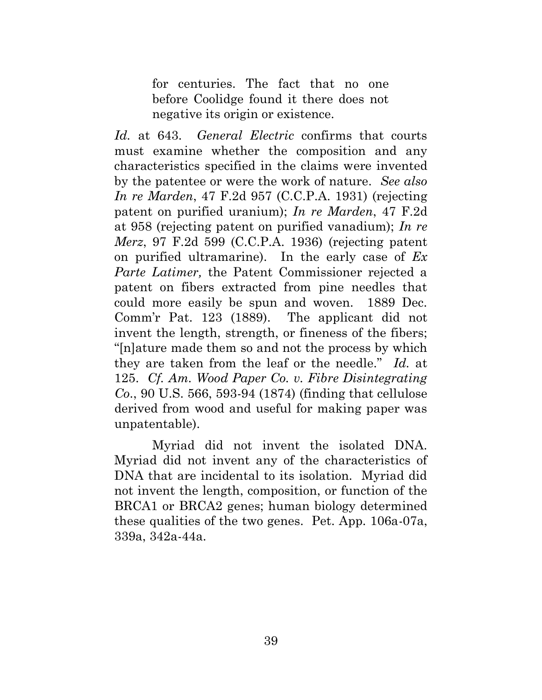for centuries. The fact that no one before Coolidge found it there does not negative its origin or existence.

*Id.* at 643. *General Electric* confirms that courts must examine whether the composition and any characteristics specified in the claims were invented by the patentee or were the work of nature. *See also In re Marden*, 47 F.2d 957 (C.C.P.A. 1931) (rejecting patent on purified uranium); *In re Marden*, 47 F.2d at 958 (rejecting patent on purified vanadium); *In re Merz*, 97 F.2d 599 (C.C.P.A. 1936) (rejecting patent on purified ultramarine). In the early case of *Ex Parte Latimer,* the Patent Commissioner rejected a patent on fibers extracted from pine needles that could more easily be spun and woven. 1889 Dec. Comm'r Pat. 123 (1889). The applicant did not invent the length, strength, or fineness of the fibers; "[n]ature made them so and not the process by which they are taken from the leaf or the needle." *Id.* at 125. *Cf. Am. Wood Paper Co. v. Fibre Disintegrating Co*., 90 U.S. 566, 593-94 (1874) (finding that cellulose derived from wood and useful for making paper was unpatentable).

Myriad did not invent the isolated DNA. Myriad did not invent any of the characteristics of DNA that are incidental to its isolation. Myriad did not invent the length, composition, or function of the BRCA1 or BRCA2 genes; human biology determined these qualities of the two genes. Pet. App. 106a-07a, 339a, 342a-44a.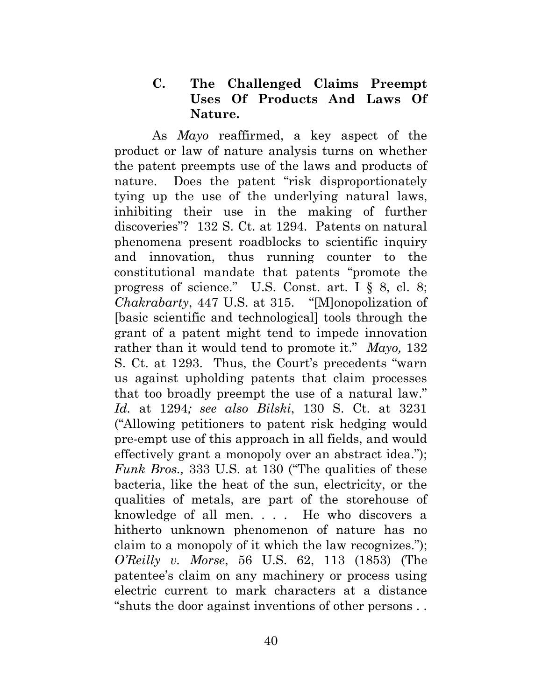#### **C. The Challenged Claims Preempt Uses Of Products And Laws Of Nature.**

<span id="page-49-0"></span>As *Mayo* reaffirmed, a key aspect of the product or law of nature analysis turns on whether the patent preempts use of the laws and products of nature. Does the patent "risk disproportionately tying up the use of the underlying natural laws, inhibiting their use in the making of further discoveries"? 132 S. Ct. at 1294. Patents on natural phenomena present roadblocks to scientific inquiry and innovation, thus running counter to the constitutional mandate that patents "promote the progress of science." U.S. Const. art. I § 8, cl. 8; *Chakrabarty*, 447 U.S. at 315. "[M]onopolization of [basic scientific and technological] tools through the grant of a patent might tend to impede innovation rather than it would tend to promote it." *Mayo,* 132 S. Ct. at 1293. Thus, the Court's precedents "warn us against upholding patents that claim processes that too broadly preempt the use of a natural law." *Id.* at 1294*; see also Bilski*, 130 S. Ct. at 3231 ("Allowing petitioners to patent risk hedging would pre-empt use of this approach in all fields, and would effectively grant a monopoly over an abstract idea."); *Funk Bros.,* 333 U.S. at 130 ("The qualities of these bacteria, like the heat of the sun, electricity, or the qualities of metals, are part of the storehouse of knowledge of all men. . . . He who discovers a hitherto unknown phenomenon of nature has no claim to a monopoly of it which the law recognizes."); *O'Reilly v. Morse*, 56 U.S. 62, 113 (1853) (The patentee's claim on any machinery or process using electric current to mark characters at a distance "shuts the door against inventions of other persons . .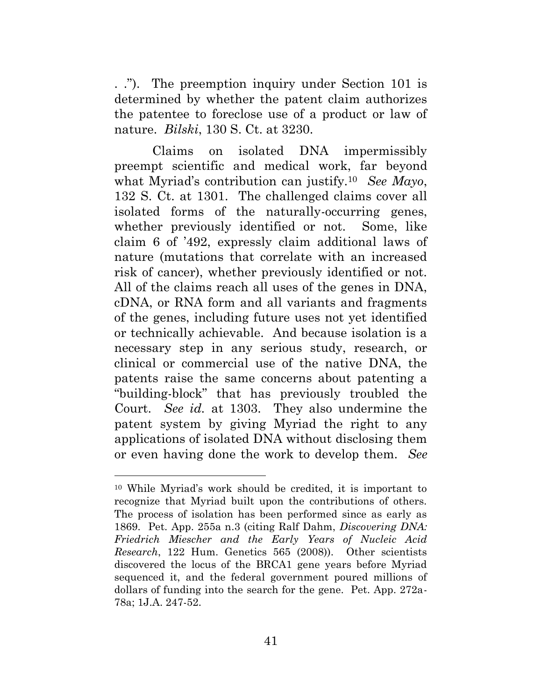. ."). The preemption inquiry under Section 101 is determined by whether the patent claim authorizes the patentee to foreclose use of a product or law of nature. *Bilski*, 130 S. Ct. at 3230.

Claims on isolated DNA impermissibly preempt scientific and medical work, far beyond what Myriad's contribution can justify.10 *See Mayo*, 132 S. Ct. at 1301. The challenged claims cover all isolated forms of the naturally-occurring genes, whether previously identified or not. Some, like claim 6 of '492, expressly claim additional laws of nature (mutations that correlate with an increased risk of cancer), whether previously identified or not. All of the claims reach all uses of the genes in DNA, cDNA, or RNA form and all variants and fragments of the genes, including future uses not yet identified or technically achievable. And because isolation is a necessary step in any serious study, research, or clinical or commercial use of the native DNA, the patents raise the same concerns about patenting a "building-block" that has previously troubled the Court. *See id.* at 1303. They also undermine the patent system by giving Myriad the right to any applications of isolated DNA without disclosing them or even having done the work to develop them. *See*

 $\overline{a}$ 

<sup>10</sup> While Myriad's work should be credited, it is important to recognize that Myriad built upon the contributions of others. The process of isolation has been performed since as early as 1869. Pet. App. 255a n.3 (citing Ralf Dahm, *Discovering DNA: Friedrich Miescher and the Early Years of Nucleic Acid Research*, 122 Hum. Genetics 565 (2008)). Other scientists discovered the locus of the BRCA1 gene years before Myriad sequenced it, and the federal government poured millions of dollars of funding into the search for the gene. Pet. App. 272a-78a; 1J.A. 247-52.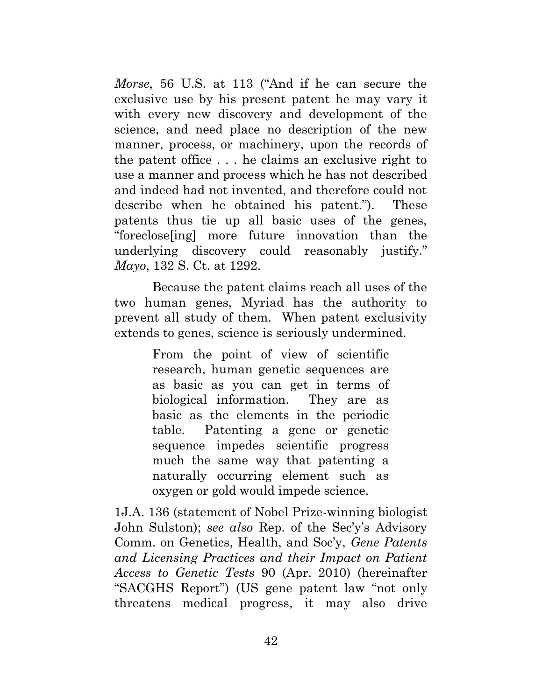*Morse*, 56 U.S. at 113 ("And if he can secure the exclusive use by his present patent he may vary it with every new discovery and development of the science, and need place no description of the new manner, process, or machinery, upon the records of the patent office . . . he claims an exclusive right to use a manner and process which he has not described and indeed had not invented, and therefore could not describe when he obtained his patent."). These patents thus tie up all basic uses of the genes, "foreclose[ing] more future innovation than the underlying discovery could reasonably justify." *Mayo*, 132 S. Ct. at 1292.

Because the patent claims reach all uses of the two human genes, Myriad has the authority to prevent all study of them. When patent exclusivity extends to genes, science is seriously undermined.

> From the point of view of scientific research, human genetic sequences are as basic as you can get in terms of biological information. They are as basic as the elements in the periodic table. Patenting a gene or genetic sequence impedes scientific progress much the same way that patenting a naturally occurring element such as oxygen or gold would impede science.

1J.A. 136 (statement of Nobel Prize-winning biologist John Sulston); *see also* Rep. of the Sec'y's Advisory Comm. on Genetics, Health, and Soc'y, *Gene Patents and Licensing Practices and their Impact on Patient Access to Genetic Tests* 90 (Apr. 2010) (hereinafter "SACGHS Report") (US gene patent law "not only threatens medical progress, it may also drive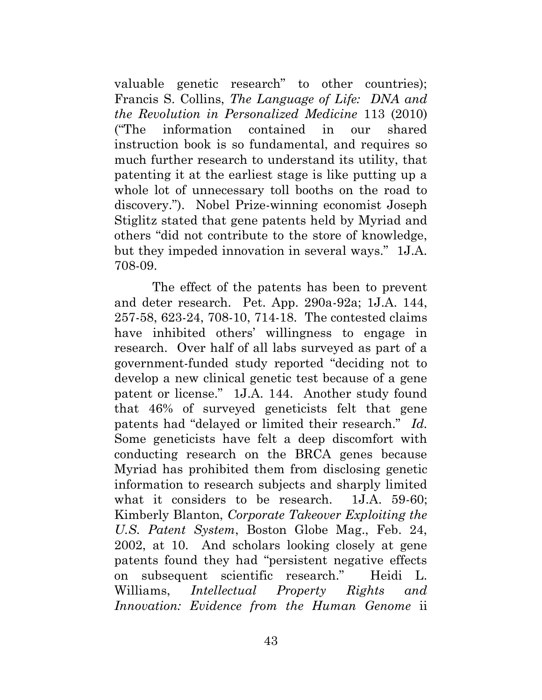valuable genetic research" to other countries); Francis S. Collins, *The Language of Life: DNA and the Revolution in Personalized Medicine* 113 (2010) ("The information contained in our shared instruction book is so fundamental, and requires so much further research to understand its utility, that patenting it at the earliest stage is like putting up a whole lot of unnecessary toll booths on the road to discovery."). Nobel Prize-winning economist Joseph Stiglitz stated that gene patents held by Myriad and others "did not contribute to the store of knowledge, but they impeded innovation in several ways." 1J.A. 708-09.

The effect of the patents has been to prevent and deter research. Pet. App. 290a-92a; 1J.A. 144, 257-58, 623-24, 708-10, 714-18. The contested claims have inhibited others' willingness to engage in research. Over half of all labs surveyed as part of a government-funded study reported "deciding not to develop a new clinical genetic test because of a gene patent or license." 1J.A. 144. Another study found that 46% of surveyed geneticists felt that gene patents had "delayed or limited their research." *Id.* Some geneticists have felt a deep discomfort with conducting research on the BRCA genes because Myriad has prohibited them from disclosing genetic information to research subjects and sharply limited what it considers to be research. 1J.A. 59-60; Kimberly Blanton, *Corporate Takeover Exploiting the U.S. Patent System*, Boston Globe Mag., Feb. 24, 2002, at 10. And scholars looking closely at gene patents found they had "persistent negative effects on subsequent scientific research." Heidi L. Williams, *Intellectual Property Rights and Innovation: Evidence from the Human Genome* ii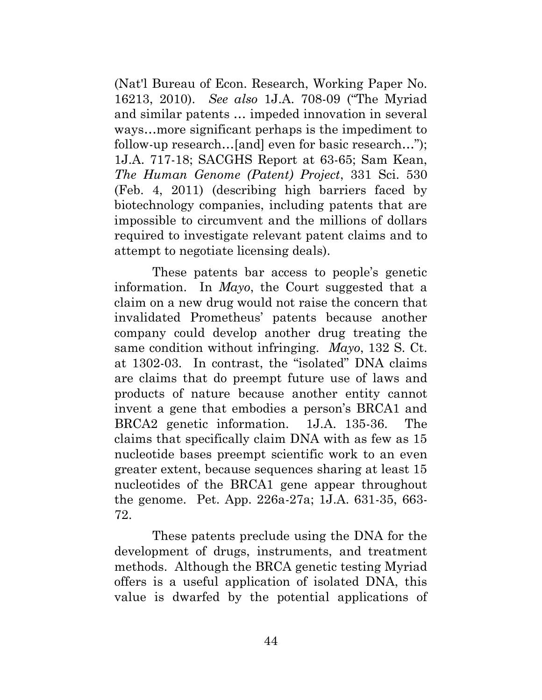(Nat'l Bureau of Econ. Research, Working Paper No. 16213, 2010). *See also* 1J.A. 708-09 ("The Myriad and similar patents … impeded innovation in several ways…more significant perhaps is the impediment to follow-up research…[and] even for basic research…"); 1J.A. 717-18; SACGHS Report at 63-65; Sam Kean, *The Human Genome (Patent) Project*, 331 Sci. 530 (Feb. 4, 2011) (describing high barriers faced by biotechnology companies, including patents that are impossible to circumvent and the millions of dollars required to investigate relevant patent claims and to attempt to negotiate licensing deals).

These patents bar access to people's genetic information. In *Mayo*, the Court suggested that a claim on a new drug would not raise the concern that invalidated Prometheus' patents because another company could develop another drug treating the same condition without infringing. *Mayo*, 132 S. Ct. at 1302-03. In contrast, the "isolated" DNA claims are claims that do preempt future use of laws and products of nature because another entity cannot invent a gene that embodies a person's BRCA1 and BRCA2 genetic information. 1J.A. 135-36. The claims that specifically claim DNA with as few as 15 nucleotide bases preempt scientific work to an even greater extent, because sequences sharing at least 15 nucleotides of the BRCA1 gene appear throughout the genome. Pet. App. 226a-27a; 1J.A. 631-35, 663- 72.

These patents preclude using the DNA for the development of drugs, instruments, and treatment methods. Although the BRCA genetic testing Myriad offers is a useful application of isolated DNA, this value is dwarfed by the potential applications of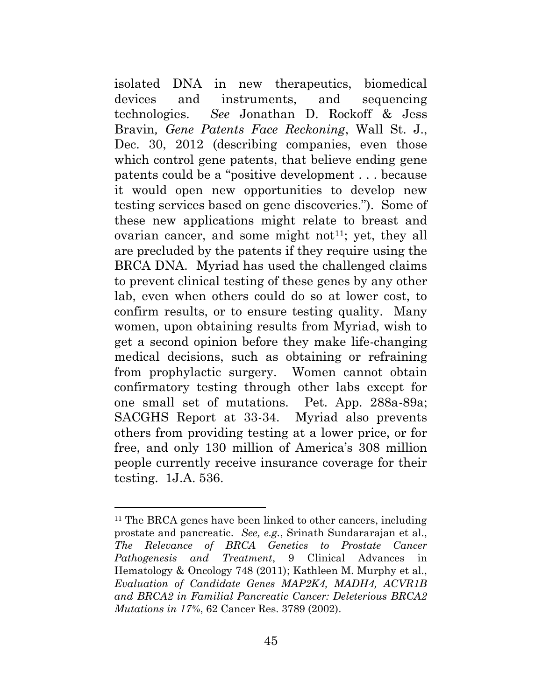isolated DNA in new therapeutics, biomedical devices and instruments, and sequencing technologies. *See* Jonathan D. Rockoff & Jess Bravin*, Gene Patents Face Reckoning*, Wall St. J., Dec. 30, 2012 (describing companies, even those which control gene patents, that believe ending gene patents could be a "positive development . . . because it would open new opportunities to develop new testing services based on gene discoveries."). Some of these new applications might relate to breast and ovarian cancer, and some might not<sup>11</sup>; yet, they all are precluded by the patents if they require using the BRCA DNA. Myriad has used the challenged claims to prevent clinical testing of these genes by any other lab, even when others could do so at lower cost, to confirm results, or to ensure testing quality. Many women, upon obtaining results from Myriad, wish to get a second opinion before they make life-changing medical decisions, such as obtaining or refraining from prophylactic surgery. Women cannot obtain confirmatory testing through other labs except for one small set of mutations. Pet. App. 288a-89a; SACGHS Report at 33-34. Myriad also prevents others from providing testing at a lower price, or for free, and only 130 million of America's 308 million people currently receive insurance coverage for their testing. 1J.A. 536.

 $\overline{a}$ 

<sup>&</sup>lt;sup>11</sup> The BRCA genes have been linked to other cancers, including prostate and pancreatic. *See, e.g.*, Srinath Sundararajan et al., *The Relevance of BRCA Genetics to Prostate Cancer Pathogenesis and Treatment*, 9 Clinical Advances in Hematology & Oncology 748 (2011); Kathleen M. Murphy et al., *Evaluation of Candidate Genes MAP2K4, MADH4, ACVR1B and BRCA2 in Familial Pancreatic Cancer: Deleterious BRCA2 Mutations in 17%*, 62 Cancer Res. 3789 (2002).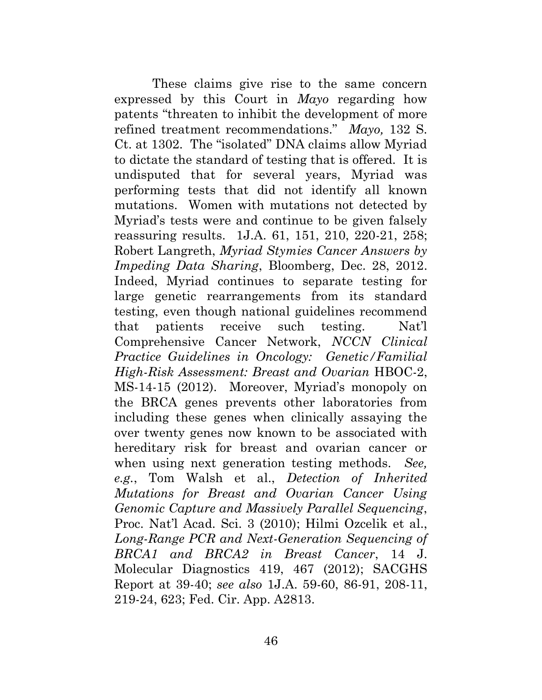These claims give rise to the same concern expressed by this Court in *Mayo* regarding how patents "threaten to inhibit the development of more refined treatment recommendations." *Mayo,* 132 S. Ct. at 1302. The "isolated" DNA claims allow Myriad to dictate the standard of testing that is offered. It is undisputed that for several years, Myriad was performing tests that did not identify all known mutations. Women with mutations not detected by Myriad's tests were and continue to be given falsely reassuring results. 1J.A. 61, 151, 210, 220-21, 258; Robert Langreth, *Myriad Stymies Cancer Answers by Impeding Data Sharing*, Bloomberg, Dec. 28, 2012. Indeed, Myriad continues to separate testing for large genetic rearrangements from its standard testing, even though national guidelines recommend that patients receive such testing. Nat'l Comprehensive Cancer Network, *NCCN Clinical Practice Guidelines in Oncology: Genetic/Familial High-Risk Assessment: Breast and Ovarian* HBOC-2, MS-14-15 (2012). Moreover, Myriad's monopoly on the BRCA genes prevents other laboratories from including these genes when clinically assaying the over twenty genes now known to be associated with hereditary risk for breast and ovarian cancer or when using next generation testing methods. *See, e.g.*, Tom Walsh et al., *Detection of Inherited Mutations for Breast and Ovarian Cancer Using Genomic Capture and Massively Parallel Sequencing*, Proc. Nat'l Acad. Sci. 3 (2010); Hilmi Ozcelik et al., *Long-Range PCR and Next-Generation Sequencing of BRCA1 and BRCA2 in Breast Cancer*, 14 J. Molecular Diagnostics 419, 467 (2012); SACGHS Report at 39-40; *see also* 1J.A. 59-60, 86-91, 208-11, 219-24, 623; Fed. Cir. App. A2813.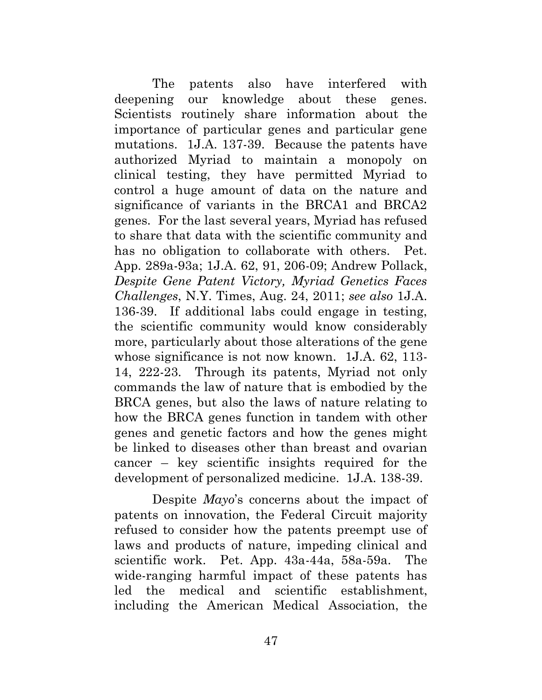The patents also have interfered with deepening our knowledge about these genes. Scientists routinely share information about the importance of particular genes and particular gene mutations. 1J.A. 137-39. Because the patents have authorized Myriad to maintain a monopoly on clinical testing, they have permitted Myriad to control a huge amount of data on the nature and significance of variants in the BRCA1 and BRCA2 genes. For the last several years, Myriad has refused to share that data with the scientific community and has no obligation to collaborate with others. Pet. App. 289a-93a; 1J.A. 62, 91, 206-09; Andrew Pollack, *Despite Gene Patent Victory, Myriad Genetics Faces Challenges*, N.Y. Times, Aug. 24, 2011; *see also* 1J.A. 136-39. If additional labs could engage in testing, the scientific community would know considerably more, particularly about those alterations of the gene whose significance is not now known. 1J.A. 62, 113-14, 222-23. Through its patents, Myriad not only commands the law of nature that is embodied by the BRCA genes, but also the laws of nature relating to how the BRCA genes function in tandem with other genes and genetic factors and how the genes might be linked to diseases other than breast and ovarian cancer – key scientific insights required for the development of personalized medicine. 1J.A. 138-39.

Despite *Mayo*'s concerns about the impact of patents on innovation, the Federal Circuit majority refused to consider how the patents preempt use of laws and products of nature, impeding clinical and scientific work. Pet. App. 43a-44a, 58a-59a. The wide-ranging harmful impact of these patents has led the medical and scientific establishment, including the American Medical Association, the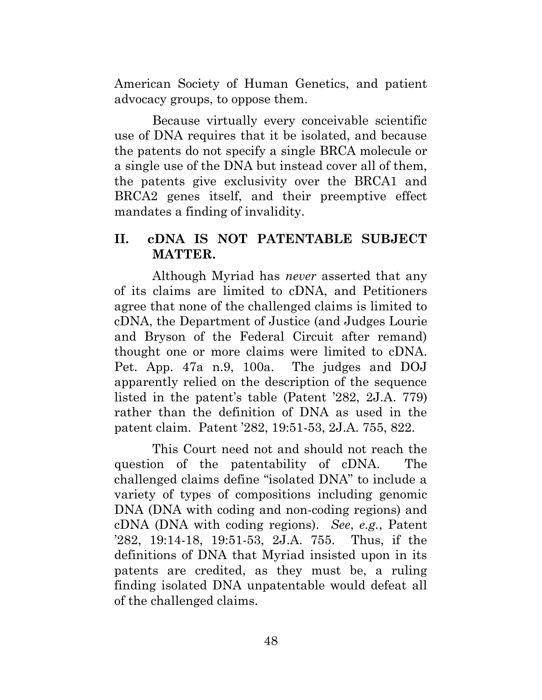American Society of Human Genetics, and patient advocacy groups, to oppose them.

Because virtually every conceivable scientific use of DNA requires that it be isolated, and because the patents do not specify a single BRCA molecule or a single use of the DNA but instead cover all of them, the patents give exclusivity over the BRCA1 and BRCA2 genes itself, and their preemptive effect mandates a finding of invalidity.

### **II. cDNA IS NOT PATENTABLE SUBJECT MATTER.**

<span id="page-57-0"></span>Although Myriad has *never* asserted that any of its claims are limited to cDNA, and Petitioners agree that none of the challenged claims is limited to cDNA, the Department of Justice (and Judges Lourie and Bryson of the Federal Circuit after remand) thought one or more claims were limited to cDNA. Pet. App. 47a n.9, 100a. The judges and DOJ apparently relied on the description of the sequence listed in the patent's table (Patent '282, 2J.A. 779) rather than the definition of DNA as used in the patent claim. Patent '282, 19:51-53, 2J.A. 755, 822.

This Court need not and should not reach the question of the patentability of cDNA. The challenged claims define "isolated DNA" to include a variety of types of compositions including genomic DNA (DNA with coding and non-coding regions) and cDNA (DNA with coding regions). *See*, *e.g.*, Patent '282, 19:14-18, 19:51-53, 2J.A. 755. Thus, if the definitions of DNA that Myriad insisted upon in its patents are credited, as they must be, a ruling finding isolated DNA unpatentable would defeat all of the challenged claims.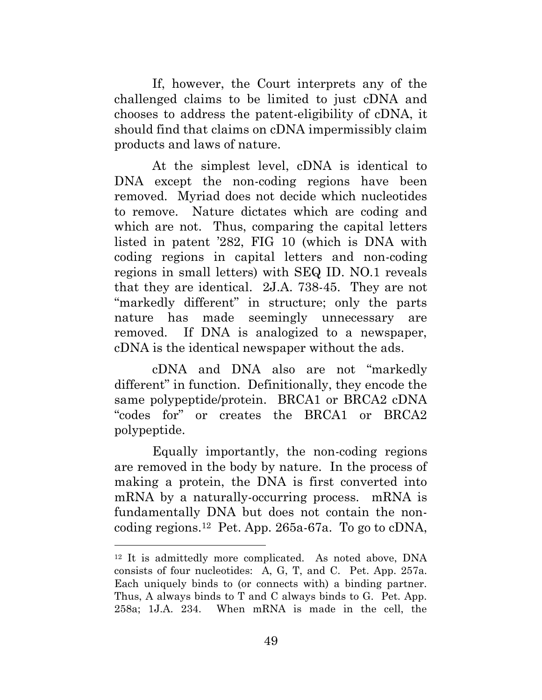If, however, the Court interprets any of the challenged claims to be limited to just cDNA and chooses to address the patent-eligibility of cDNA, it should find that claims on cDNA impermissibly claim products and laws of nature.

At the simplest level, cDNA is identical to DNA except the non-coding regions have been removed. Myriad does not decide which nucleotides to remove. Nature dictates which are coding and which are not. Thus, comparing the capital letters listed in patent '282, FIG 10 (which is DNA with coding regions in capital letters and non-coding regions in small letters) with SEQ ID. NO.1 reveals that they are identical. 2J.A. 738-45. They are not "markedly different" in structure; only the parts nature has made seemingly unnecessary are removed. If DNA is analogized to a newspaper, cDNA is the identical newspaper without the ads.

cDNA and DNA also are not "markedly different" in function. Definitionally, they encode the same polypeptide/protein. BRCA1 or BRCA2 cDNA "codes for" or creates the BRCA1 or BRCA2 polypeptide.

Equally importantly, the non-coding regions are removed in the body by nature. In the process of making a protein, the DNA is first converted into mRNA by a naturally-occurring process. mRNA is fundamentally DNA but does not contain the noncoding regions.12 Pet. App. 265a-67a. To go to cDNA,

 $\overline{a}$ 

<sup>12</sup> It is admittedly more complicated. As noted above, DNA consists of four nucleotides: A, G, T, and C. Pet. App. 257a. Each uniquely binds to (or connects with) a binding partner. Thus, A always binds to T and C always binds to G. Pet. App. 258a; 1J.A. 234. When mRNA is made in the cell, the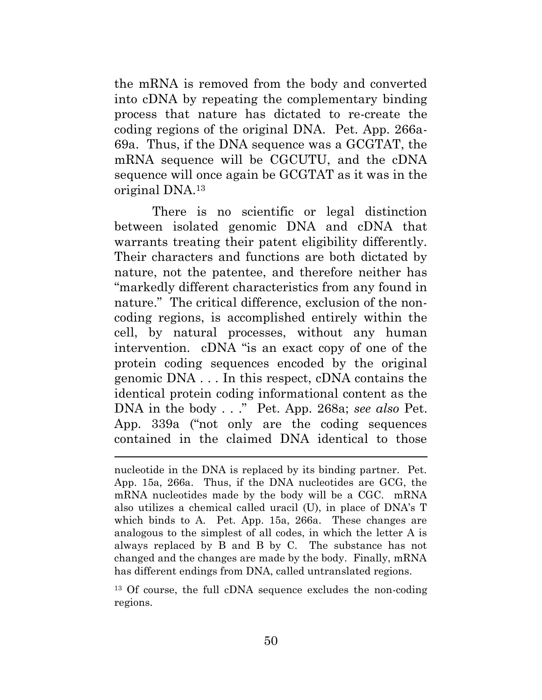the mRNA is removed from the body and converted into cDNA by repeating the complementary binding process that nature has dictated to re-create the coding regions of the original DNA. Pet. App. 266a-69a. Thus, if the DNA sequence was a GCGTAT, the mRNA sequence will be CGCUTU, and the cDNA sequence will once again be GCGTAT as it was in the original DNA.13

There is no scientific or legal distinction between isolated genomic DNA and cDNA that warrants treating their patent eligibility differently. Their characters and functions are both dictated by nature, not the patentee, and therefore neither has "markedly different characteristics from any found in nature." The critical difference, exclusion of the noncoding regions, is accomplished entirely within the cell, by natural processes, without any human intervention. cDNA "is an exact copy of one of the protein coding sequences encoded by the original genomic DNA . . . In this respect, cDNA contains the identical protein coding informational content as the DNA in the body . . ." Pet. App. 268a; *see also* Pet. App. 339a ("not only are the coding sequences contained in the claimed DNA identical to those

 $\overline{a}$ 

13 Of course, the full cDNA sequence excludes the non-coding regions.

nucleotide in the DNA is replaced by its binding partner. Pet. App. 15a, 266a. Thus, if the DNA nucleotides are GCG, the mRNA nucleotides made by the body will be a CGC. mRNA also utilizes a chemical called uracil (U), in place of DNA's T which binds to A. Pet. App. 15a, 266a. These changes are analogous to the simplest of all codes, in which the letter A is always replaced by B and B by C. The substance has not changed and the changes are made by the body. Finally, mRNA has different endings from DNA, called untranslated regions.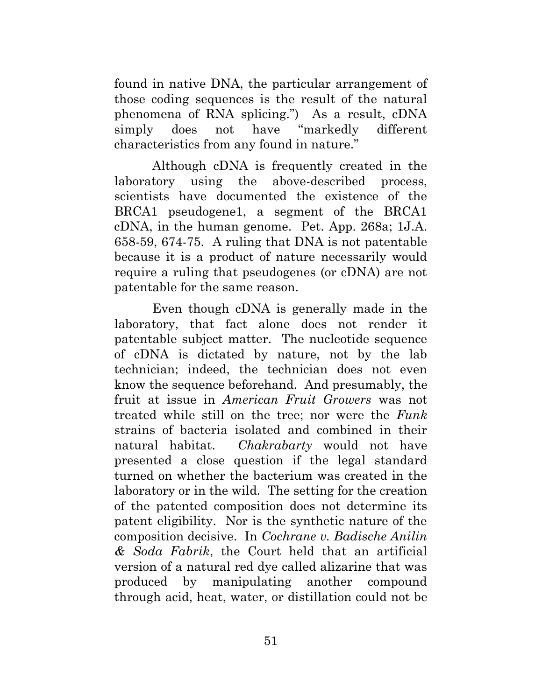found in native DNA, the particular arrangement of those coding sequences is the result of the natural phenomena of RNA splicing.") As a result, cDNA simply does not have "markedly different characteristics from any found in nature."

Although cDNA is frequently created in the laboratory using the above-described process, scientists have documented the existence of the BRCA1 pseudogene1, a segment of the BRCA1 cDNA, in the human genome. Pet. App. 268a; 1J.A. 658-59, 674-75. A ruling that DNA is not patentable because it is a product of nature necessarily would require a ruling that pseudogenes (or cDNA) are not patentable for the same reason.

Even though cDNA is generally made in the laboratory, that fact alone does not render it patentable subject matter. The nucleotide sequence of cDNA is dictated by nature, not by the lab technician; indeed, the technician does not even know the sequence beforehand. And presumably, the fruit at issue in *American Fruit Growers* was not treated while still on the tree; nor were the *Funk* strains of bacteria isolated and combined in their natural habitat. *Chakrabarty* would not have presented a close question if the legal standard turned on whether the bacterium was created in the laboratory or in the wild. The setting for the creation of the patented composition does not determine its patent eligibility. Nor is the synthetic nature of the composition decisive. In *Cochrane v. Badische Anilin & Soda Fabrik*, the Court held that an artificial version of a natural red dye called alizarine that was produced by manipulating another compound through acid, heat, water, or distillation could not be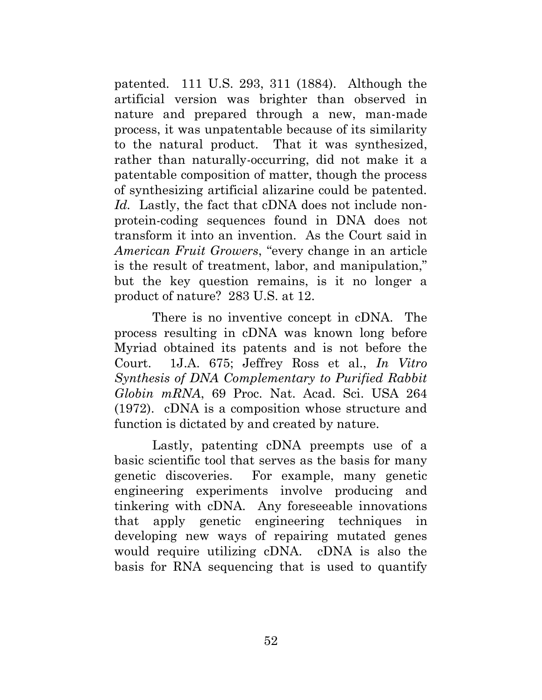patented. 111 U.S. 293, 311 (1884). Although the artificial version was brighter than observed in nature and prepared through a new, man-made process, it was unpatentable because of its similarity to the natural product. That it was synthesized, rather than naturally-occurring, did not make it a patentable composition of matter, though the process of synthesizing artificial alizarine could be patented. *Id.* Lastly, the fact that cDNA does not include nonprotein-coding sequences found in DNA does not transform it into an invention. As the Court said in *American Fruit Growers*, "every change in an article is the result of treatment, labor, and manipulation," but the key question remains, is it no longer a product of nature? 283 U.S. at 12.

There is no inventive concept in cDNA. The process resulting in cDNA was known long before Myriad obtained its patents and is not before the Court. 1J.A. 675; Jeffrey Ross et al., *In Vitro Synthesis of DNA Complementary to Purified Rabbit Globin mRNA*, 69 Proc. Nat. Acad. Sci. USA 264 (1972). cDNA is a composition whose structure and function is dictated by and created by nature.

Lastly, patenting cDNA preempts use of a basic scientific tool that serves as the basis for many genetic discoveries. For example, many genetic engineering experiments involve producing and tinkering with cDNA. Any foreseeable innovations that apply genetic engineering techniques in developing new ways of repairing mutated genes would require utilizing cDNA. cDNA is also the basis for RNA sequencing that is used to quantify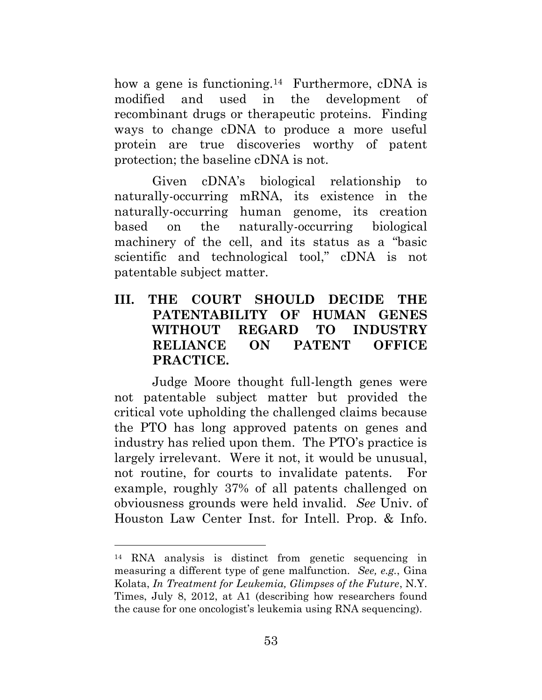how a gene is functioning.<sup>14</sup> Furthermore, cDNA is modified and used in the development of recombinant drugs or therapeutic proteins. Finding ways to change cDNA to produce a more useful protein are true discoveries worthy of patent protection; the baseline cDNA is not.

Given cDNA's biological relationship to naturally-occurring mRNA, its existence in the naturally-occurring human genome, its creation based on the naturally-occurring biological machinery of the cell, and its status as a "basic scientific and technological tool," cDNA is not patentable subject matter.

## **III. THE COURT SHOULD DECIDE THE PATENTABILITY OF HUMAN GENES WITHOUT REGARD TO INDUSTRY RELIANCE ON PATENT OFFICE PRACTICE.**

<span id="page-62-0"></span>Judge Moore thought full-length genes were not patentable subject matter but provided the critical vote upholding the challenged claims because the PTO has long approved patents on genes and industry has relied upon them. The PTO's practice is largely irrelevant. Were it not, it would be unusual, not routine, for courts to invalidate patents. For example, roughly 37% of all patents challenged on obviousness grounds were held invalid. *See* Univ. of Houston Law Center Inst. for Intell. Prop. & Info.

 $\overline{a}$ 

<sup>14</sup> RNA analysis is distinct from genetic sequencing in measuring a different type of gene malfunction. *See, e.g.*, Gina Kolata, *In Treatment for Leukemia, Glimpses of the Future*, N.Y. Times, July 8, 2012, at A1 (describing how researchers found the cause for one oncologist's leukemia using RNA sequencing).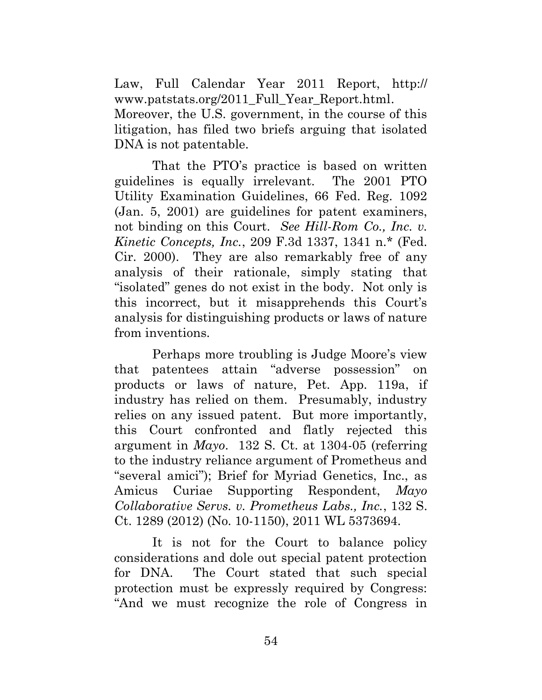Law, Full Calendar Year 2011 Report, http:// www.patstats.org/2011 Full Year Report.html. Moreover, the U.S. government, in the course of this litigation, has filed two briefs arguing that isolated DNA is not patentable.

That the PTO's practice is based on written guidelines is equally irrelevant. The 2001 PTO Utility Examination Guidelines, 66 Fed. Reg. 1092 (Jan. 5, 2001) are guidelines for patent examiners, not binding on this Court. *See Hill-Rom Co., Inc. v. Kinetic Concepts, Inc.*, 209 F.3d 1337, 1341 n.\* (Fed. Cir. 2000). They are also remarkably free of any analysis of their rationale, simply stating that "isolated" genes do not exist in the body. Not only is this incorrect, but it misapprehends this Court's analysis for distinguishing products or laws of nature from inventions.

Perhaps more troubling is Judge Moore's view that patentees attain "adverse possession" on products or laws of nature, Pet. App. 119a, if industry has relied on them. Presumably, industry relies on any issued patent. But more importantly, this Court confronted and flatly rejected this argument in *Mayo*. 132 S. Ct. at 1304-05 (referring to the industry reliance argument of Prometheus and "several amici"); Brief for Myriad Genetics, Inc., as Amicus Curiae Supporting Respondent, *Mayo Collaborative Servs. v. Prometheus Labs., Inc.*, 132 S. Ct. 1289 (2012) (No. 10-1150), 2011 WL 5373694.

It is not for the Court to balance policy considerations and dole out special patent protection for DNA. The Court stated that such special protection must be expressly required by Congress: "And we must recognize the role of Congress in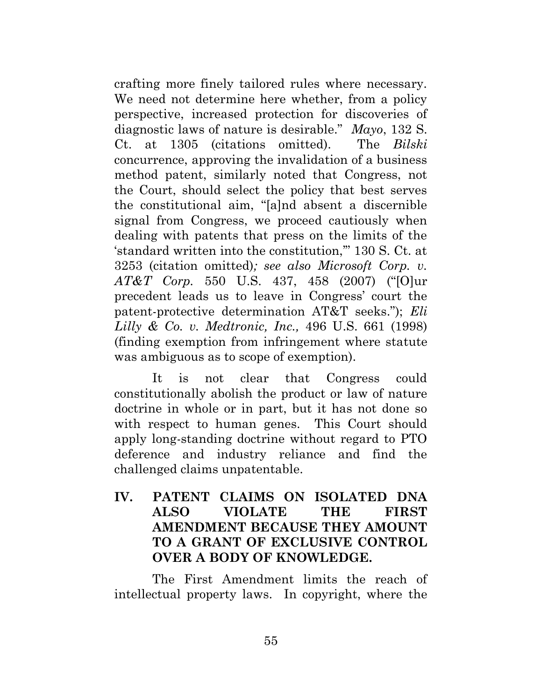crafting more finely tailored rules where necessary. We need not determine here whether, from a policy perspective, increased protection for discoveries of diagnostic laws of nature is desirable." *Mayo*, 132 S. Ct. at 1305 (citations omitted). The *Bilski* concurrence, approving the invalidation of a business method patent, similarly noted that Congress, not the Court, should select the policy that best serves the constitutional aim, "[a]nd absent a discernible signal from Congress, we proceed cautiously when dealing with patents that press on the limits of the 'standard written into the constitution,'" 130 S. Ct. at 3253 (citation omitted)*; see also Microsoft Corp. v. AT&T Corp.* 550 U.S. 437, 458 (2007) ("[O]ur precedent leads us to leave in Congress' court the patent-protective determination AT&T seeks."); *Eli Lilly & Co. v. Medtronic, Inc.,* 496 U.S. 661 (1998) (finding exemption from infringement where statute was ambiguous as to scope of exemption).

It is not clear that Congress could constitutionally abolish the product or law of nature doctrine in whole or in part, but it has not done so with respect to human genes. This Court should apply long-standing doctrine without regard to PTO deference and industry reliance and find the challenged claims unpatentable.

## **IV. PATENT CLAIMS ON ISOLATED DNA ALSO VIOLATE THE FIRST AMENDMENT BECAUSE THEY AMOUNT TO A GRANT OF EXCLUSIVE CONTROL OVER A BODY OF KNOWLEDGE.**

<span id="page-64-0"></span>The First Amendment limits the reach of intellectual property laws. In copyright, where the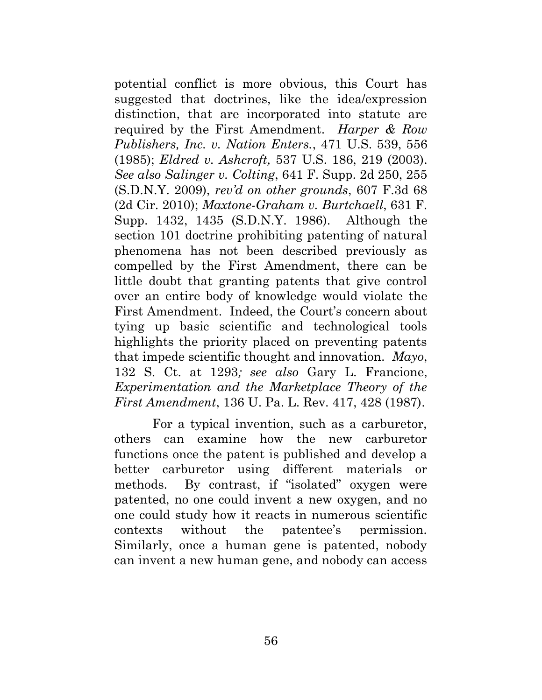potential conflict is more obvious, this Court has suggested that doctrines, like the idea/expression distinction, that are incorporated into statute are required by the First Amendment. *Harper & Row Publishers, Inc. v. Nation Enters.*, 471 U.S. 539, 556 (1985); *Eldred v. Ashcroft,* 537 U.S. 186, 219 (2003). *See also Salinger v. Colting*, 641 F. Supp. 2d 250, 255 (S.D.N.Y. 2009), *rev'd on other grounds*, 607 F.3d 68 (2d Cir. 2010); *Maxtone-Graham v. Burtchaell*, 631 F. Supp. 1432, 1435 (S.D.N.Y. 1986). Although the section 101 doctrine prohibiting patenting of natural phenomena has not been described previously as compelled by the First Amendment, there can be little doubt that granting patents that give control over an entire body of knowledge would violate the First Amendment. Indeed, the Court's concern about tying up basic scientific and technological tools highlights the priority placed on preventing patents that impede scientific thought and innovation. *Mayo*, 132 S. Ct. at 1293*; see also* Gary L. Francione, *Experimentation and the Marketplace Theory of the First Amendment*, 136 U. Pa. L. Rev. 417, 428 (1987).

For a typical invention, such as a carburetor, others can examine how the new carburetor functions once the patent is published and develop a better carburetor using different materials or methods. By contrast, if "isolated" oxygen were patented, no one could invent a new oxygen, and no one could study how it reacts in numerous scientific contexts without the patentee's permission. Similarly, once a human gene is patented, nobody can invent a new human gene, and nobody can access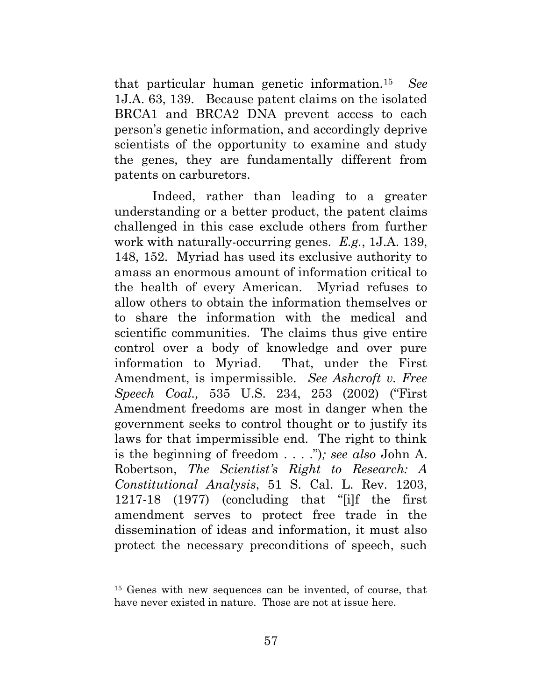that particular human genetic information.15 *See* 1J.A. 63, 139. Because patent claims on the isolated BRCA1 and BRCA2 DNA prevent access to each person's genetic information, and accordingly deprive scientists of the opportunity to examine and study the genes, they are fundamentally different from patents on carburetors.

Indeed, rather than leading to a greater understanding or a better product, the patent claims challenged in this case exclude others from further work with naturally-occurring genes. *E.g.*, 1J.A. 139, 148, 152. Myriad has used its exclusive authority to amass an enormous amount of information critical to the health of every American. Myriad refuses to allow others to obtain the information themselves or to share the information with the medical and scientific communities. The claims thus give entire control over a body of knowledge and over pure information to Myriad. That, under the First Amendment, is impermissible. *See Ashcroft v. Free Speech Coal.,* 535 U.S. 234, 253 (2002) ("First Amendment freedoms are most in danger when the government seeks to control thought or to justify its laws for that impermissible end. The right to think is the beginning of freedom . . . .")*; see also* John A. Robertson, *The Scientist's Right to Research: A Constitutional Analysis*, 51 S. Cal. L. Rev. 1203, 1217-18 (1977) (concluding that "[i]f the first amendment serves to protect free trade in the dissemination of ideas and information, it must also protect the necessary preconditions of speech, such

 $\overline{a}$ 

<sup>15</sup> Genes with new sequences can be invented, of course, that have never existed in nature. Those are not at issue here.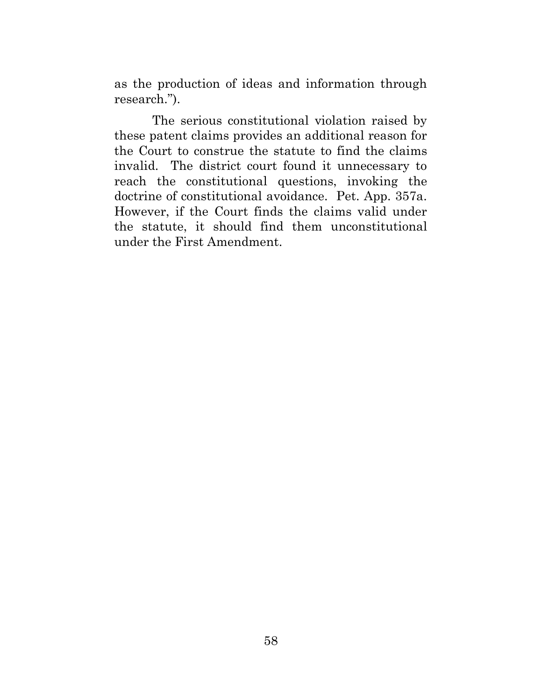as the production of ideas and information through research.").

The serious constitutional violation raised by these patent claims provides an additional reason for the Court to construe the statute to find the claims invalid. The district court found it unnecessary to reach the constitutional questions, invoking the doctrine of constitutional avoidance. Pet. App. 357a. However, if the Court finds the claims valid under the statute, it should find them unconstitutional under the First Amendment.